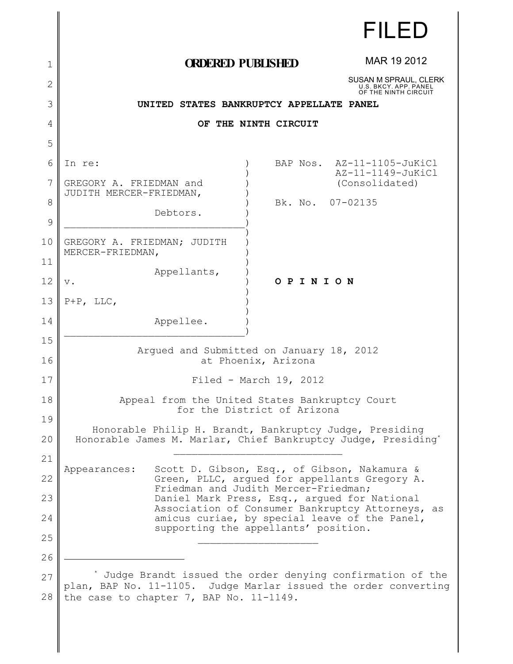|                     |                                                                                                                          |                  | FILED                                                                                             |  |
|---------------------|--------------------------------------------------------------------------------------------------------------------------|------------------|---------------------------------------------------------------------------------------------------|--|
| 1                   | <b>ORDERED PUBLISHED</b>                                                                                                 |                  | MAR 19 2012                                                                                       |  |
| $\overline{2}$      |                                                                                                                          |                  | SUSAN M SPRAUL, CLERK                                                                             |  |
| 3                   |                                                                                                                          |                  | U.S. BKCY. APP. PANEL<br>OF THE NINTH CIRCUIT                                                     |  |
| 4                   | UNITED STATES BANKRUPTCY APPELLATE PANEL<br>OF THE NINTH CIRCUIT                                                         |                  |                                                                                                   |  |
| 5                   |                                                                                                                          |                  |                                                                                                   |  |
| 6                   | In re:                                                                                                                   |                  | BAP Nos. AZ-11-1105-JuKiCl                                                                        |  |
| 7                   | GREGORY A. FRIEDMAN and<br>JUDITH MERCER-FRIEDMAN,                                                                       |                  | AZ-11-1149-JuKiCl<br>(Consolidated)                                                               |  |
| 8                   | Debtors.                                                                                                                 | Bk. No. 07-02135 |                                                                                                   |  |
| $\mathcal{G}$<br>10 | GREGORY A. FRIEDMAN; JUDITH                                                                                              |                  |                                                                                                   |  |
| 11                  | MERCER-FRIEDMAN,                                                                                                         |                  |                                                                                                   |  |
| 12                  | Appellants,<br>$V$ .                                                                                                     | OPINION          |                                                                                                   |  |
| 13                  | $P+P$ , LLC,                                                                                                             |                  |                                                                                                   |  |
| 14                  | Appellee.                                                                                                                |                  |                                                                                                   |  |
| 15                  |                                                                                                                          |                  |                                                                                                   |  |
| 16                  | Arqued and Submitted on January 18, 2012<br>at Phoenix, Arizona                                                          |                  |                                                                                                   |  |
| 17                  | Filed - March $19$ , 2012                                                                                                |                  |                                                                                                   |  |
| 18                  | Appeal from the United States Bankruptcy Court                                                                           |                  |                                                                                                   |  |
| 19                  | for the District of Arizona                                                                                              |                  |                                                                                                   |  |
| 20                  | Honorable Philip H. Brandt, Bankruptcy Judge, Presiding<br>Honorable James M. Marlar, Chief Bankruptcy Judge, Presiding* |                  |                                                                                                   |  |
| 21                  |                                                                                                                          |                  |                                                                                                   |  |
| 22                  | Scott D. Gibson, Esq., of Gibson, Nakamura &<br>Appearances:                                                             |                  | Green, PLLC, argued for appellants Gregory A.                                                     |  |
| 23                  | Friedman and Judith Mercer-Friedman;<br>Daniel Mark Press, Esq., argued for National                                     |                  |                                                                                                   |  |
| 24                  |                                                                                                                          |                  | Association of Consumer Bankruptcy Attorneys, as<br>amicus curiae, by special leave of the Panel, |  |
| 25                  | supporting the appellants' position.                                                                                     |                  |                                                                                                   |  |
| 26                  |                                                                                                                          |                  |                                                                                                   |  |
| 27                  | Judge Brandt issued the order denying confirmation of the                                                                |                  |                                                                                                   |  |
| 28                  | plan, BAP No. 11-1105. Judge Marlar issued the order converting<br>the case to chapter 7, BAP No. 11-1149.               |                  |                                                                                                   |  |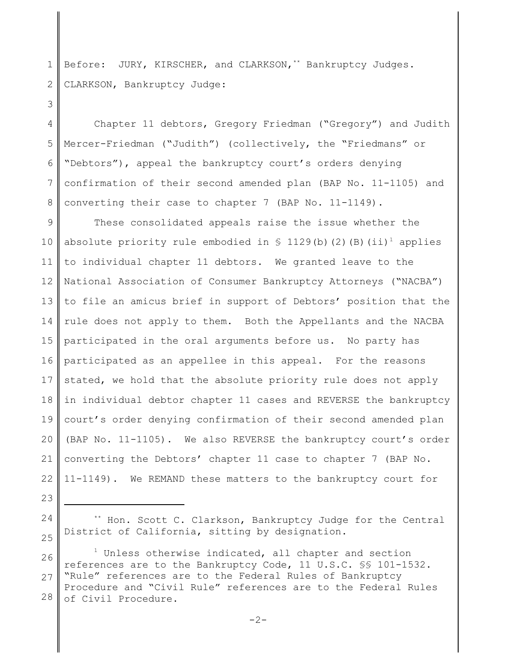1 2 Before: JURY, KIRSCHER, and CLARKSON,  $*$  Bankruptcy Judges. CLARKSON, Bankruptcy Judge:

4 5 6 7 8 Chapter 11 debtors, Gregory Friedman ("Gregory") and Judith Mercer-Friedman ("Judith") (collectively, the "Friedmans" or "Debtors"), appeal the bankruptcy court's orders denying confirmation of their second amended plan (BAP No. 11-1105) and converting their case to chapter 7 (BAP No. 11-1149).

9 10 11 12 13 14 15 16 17 18 19 20 21 22 These consolidated appeals raise the issue whether the absolute priority rule embodied in  $\frac{129}{b}$ (b)(2)(B)(ii)<sup>1</sup> applies to individual chapter 11 debtors. We granted leave to the National Association of Consumer Bankruptcy Attorneys ("NACBA") to file an amicus brief in support of Debtors' position that the rule does not apply to them. Both the Appellants and the NACBA participated in the oral arguments before us. No party has participated as an appellee in this appeal. For the reasons stated, we hold that the absolute priority rule does not apply in individual debtor chapter 11 cases and REVERSE the bankruptcy court's order denying confirmation of their second amended plan (BAP No. 11-1105). We also REVERSE the bankruptcy court's order converting the Debtors' chapter 11 case to chapter 7 (BAP No. 11-1149). We REMAND these matters to the bankruptcy court for

23 24

25

3

\*\* Hon. Scott C. Clarkson, Bankruptcy Judge for the Central District of California, sitting by designation.

26 27 28  $1$  Unless otherwise indicated, all chapter and section references are to the Bankruptcy Code, 11 U.S.C. §§ 101-1532. "Rule" references are to the Federal Rules of Bankruptcy Procedure and "Civil Rule" references are to the Federal Rules of Civil Procedure.

 $-2-$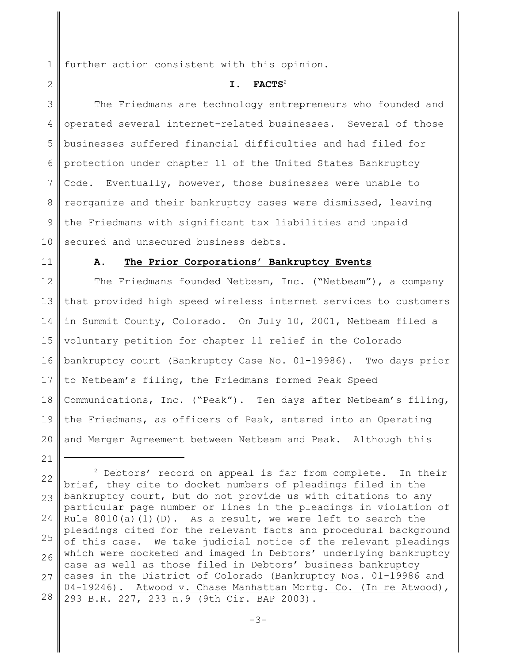1 further action consistent with this opinion.

#### **I. FACTS**<sup>2</sup>

3 4 5 6 7 8 9 10 The Friedmans are technology entrepreneurs who founded and operated several internet-related businesses. Several of those businesses suffered financial difficulties and had filed for protection under chapter 11 of the United States Bankruptcy Code. Eventually, however, those businesses were unable to reorganize and their bankruptcy cases were dismissed, leaving the Friedmans with significant tax liabilities and unpaid secured and unsecured business debts.

11

21

2

#### **A. The Prior Corporations' Bankruptcy Events**

12 13 14 15 16 17 18 19 20 The Friedmans founded Netbeam, Inc. ("Netbeam"), a company that provided high speed wireless internet services to customers in Summit County, Colorado. On July 10, 2001, Netbeam filed a voluntary petition for chapter 11 relief in the Colorado bankruptcy court (Bankruptcy Case No. 01-19986). Two days prior to Netbeam's filing, the Friedmans formed Peak Speed Communications, Inc. ("Peak"). Ten days after Netbeam's filing, the Friedmans, as officers of Peak, entered into an Operating and Merger Agreement between Netbeam and Peak. Although this

22 23 24 25 26 27 28  $2$  Debtors' record on appeal is far from complete. In their brief, they cite to docket numbers of pleadings filed in the bankruptcy court, but do not provide us with citations to any particular page number or lines in the pleadings in violation of Rule  $8010(a)(1)(D)$ . As a result, we were left to search the pleadings cited for the relevant facts and procedural background of this case. We take judicial notice of the relevant pleadings which were docketed and imaged in Debtors' underlying bankruptcy case as well as those filed in Debtors' business bankruptcy cases in the District of Colorado (Bankruptcy Nos. 01-19986 and 04-19246). Atwood v. Chase Manhattan Mortg. Co. (In re Atwood), 293 B.R. 227, 233 n.9 (9th Cir. BAP 2003).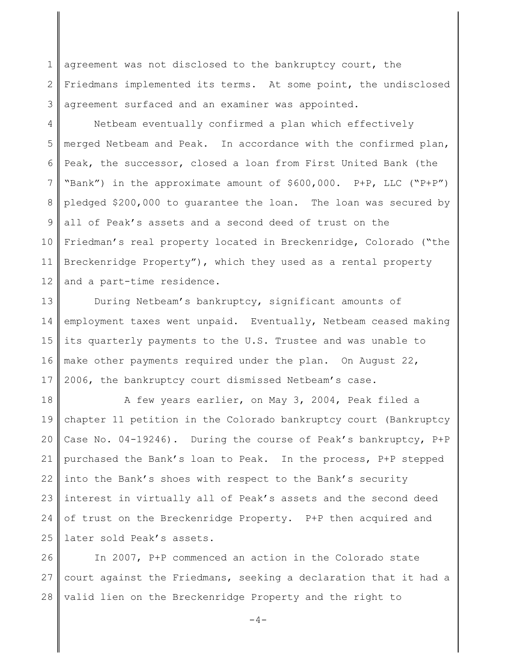1 2 3 agreement was not disclosed to the bankruptcy court, the Friedmans implemented its terms. At some point, the undisclosed agreement surfaced and an examiner was appointed.

4 5 6 7 8 9 10 11 12 Netbeam eventually confirmed a plan which effectively merged Netbeam and Peak. In accordance with the confirmed plan, Peak, the successor, closed a loan from First United Bank (the "Bank") in the approximate amount of \$600,000. P+P, LLC ("P+P") pledged \$200,000 to guarantee the loan. The loan was secured by all of Peak's assets and a second deed of trust on the Friedman's real property located in Breckenridge, Colorado ("the Breckenridge Property"), which they used as a rental property and a part-time residence.

13 14 15 16 17 During Netbeam's bankruptcy, significant amounts of employment taxes went unpaid. Eventually, Netbeam ceased making its quarterly payments to the U.S. Trustee and was unable to make other payments required under the plan. On August 22, 2006, the bankruptcy court dismissed Netbeam's case.

18 19 20 21 22 23 24 25 A few years earlier, on May 3, 2004, Peak filed a chapter 11 petition in the Colorado bankruptcy court (Bankruptcy Case No. 04-19246). During the course of Peak's bankruptcy, P+P purchased the Bank's loan to Peak. In the process, P+P stepped into the Bank's shoes with respect to the Bank's security interest in virtually all of Peak's assets and the second deed of trust on the Breckenridge Property. P+P then acquired and later sold Peak's assets.

26 27 28 In 2007, P+P commenced an action in the Colorado state court against the Friedmans, seeking a declaration that it had a valid lien on the Breckenridge Property and the right to

 $-4-$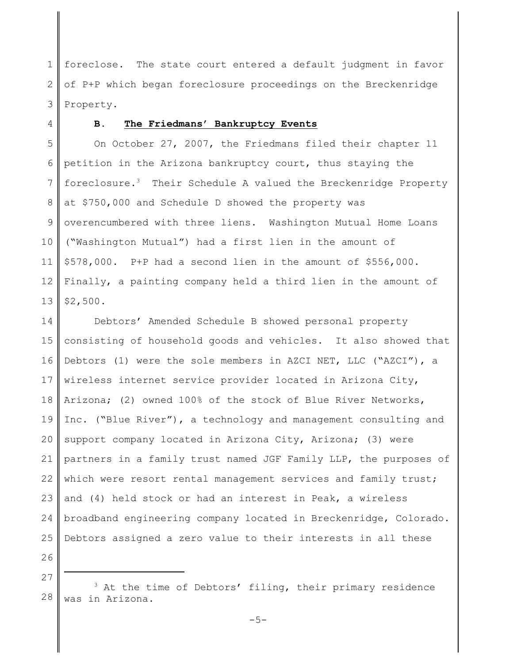1 2 3 foreclose. The state court entered a default judgment in favor of P+P which began foreclosure proceedings on the Breckenridge Property.

4

## **B. The Friedmans' Bankruptcy Events**

5 6 7 8 9 10 11 12 13 On October 27, 2007, the Friedmans filed their chapter 11 petition in the Arizona bankruptcy court, thus staying the foreclosure.<sup>3</sup> Their Schedule A valued the Breckenridge Property at \$750,000 and Schedule D showed the property was overencumbered with three liens. Washington Mutual Home Loans ("Washington Mutual") had a first lien in the amount of \$578,000. P+P had a second lien in the amount of \$556,000. Finally, a painting company held a third lien in the amount of \$2,500.

14 15 16 17 18 19 20 21 22 23 24 25 Debtors' Amended Schedule B showed personal property consisting of household goods and vehicles. It also showed that Debtors (1) were the sole members in AZCI NET, LLC ("AZCI"), a wireless internet service provider located in Arizona City, Arizona; (2) owned 100% of the stock of Blue River Networks, Inc. ("Blue River"), a technology and management consulting and support company located in Arizona City, Arizona; (3) were partners in a family trust named JGF Family LLP, the purposes of which were resort rental management services and family trust; and (4) held stock or had an interest in Peak, a wireless broadband engineering company located in Breckenridge, Colorado. Debtors assigned a zero value to their interests in all these

26 27

<sup>28</sup>  $3$  At the time of Debtors' filing, their primary residence was in Arizona.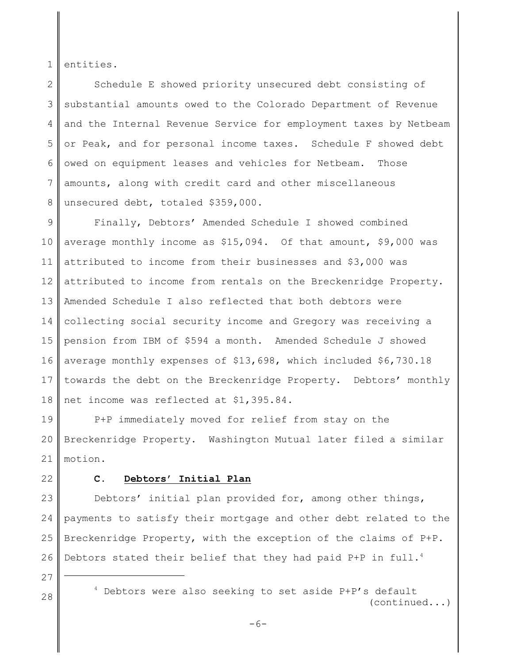1 entities.

2 3 4 5 6 7 8 Schedule E showed priority unsecured debt consisting of substantial amounts owed to the Colorado Department of Revenue and the Internal Revenue Service for employment taxes by Netbeam or Peak, and for personal income taxes. Schedule F showed debt owed on equipment leases and vehicles for Netbeam. Those amounts, along with credit card and other miscellaneous unsecured debt, totaled \$359,000.

9 10 11 12 13 14 15 16 17 18 Finally, Debtors' Amended Schedule I showed combined average monthly income as \$15,094. Of that amount, \$9,000 was attributed to income from their businesses and \$3,000 was attributed to income from rentals on the Breckenridge Property. Amended Schedule I also reflected that both debtors were collecting social security income and Gregory was receiving a pension from IBM of \$594 a month. Amended Schedule J showed average monthly expenses of \$13,698, which included \$6,730.18 towards the debt on the Breckenridge Property. Debtors' monthly net income was reflected at \$1,395.84.

19 20 21 P+P immediately moved for relief from stay on the Breckenridge Property. Washington Mutual later filed a similar motion.

22

#### **C. Debtors' Initial Plan**

23 24 25 26 Debtors' initial plan provided for, among other things, payments to satisfy their mortgage and other debt related to the Breckenridge Property, with the exception of the claims of P+P. Debtors stated their belief that they had paid P+P in full.<sup>4</sup>

- 27
- 

 $28$   $\parallel$   $4$  Debtors were also seeking to set aside P+P's default (continued...)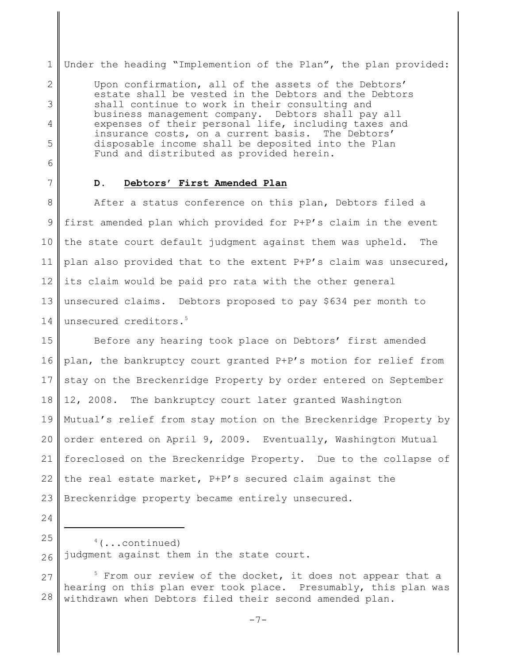1 Under the heading "Implemention of the Plan", the plan provided:

Upon confirmation, all of the assets of the Debtors' estate shall be vested in the Debtors and the Debtors shall continue to work in their consulting and business management company. Debtors shall pay all expenses of their personal life, including taxes and insurance costs, on a current basis. The Debtors' disposable income shall be deposited into the Plan Fund and distributed as provided herein.

6

2

3

4

5

7

24

#### **D. Debtors' First Amended Plan**

8 9 10 11 12 13 14 After a status conference on this plan, Debtors filed a first amended plan which provided for P+P's claim in the event the state court default judgment against them was upheld. The plan also provided that to the extent P+P's claim was unsecured, its claim would be paid pro rata with the other general unsecured claims. Debtors proposed to pay \$634 per month to unsecured creditors.<sup>5</sup>

15 16 17 18 19 20 21 22 23 Before any hearing took place on Debtors' first amended plan, the bankruptcy court granted P+P's motion for relief from stay on the Breckenridge Property by order entered on September 12, 2008. The bankruptcy court later granted Washington Mutual's relief from stay motion on the Breckenridge Property by order entered on April 9, 2009. Eventually, Washington Mutual foreclosed on the Breckenridge Property. Due to the collapse of the real estate market, P+P's secured claim against the Breckenridge property became entirely unsecured.

25 26  $4$  (...continued) judgment against them in the state court.

27 28  $5$  From our review of the docket, it does not appear that a hearing on this plan ever took place. Presumably, this plan was withdrawn when Debtors filed their second amended plan.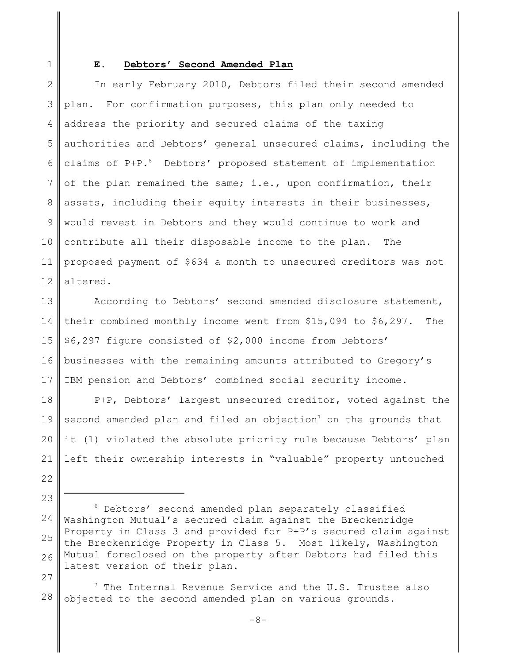1

#### **E. Debtors' Second Amended Plan**

2 3 4 5 6 7 8 9 10 11 12 In early February 2010, Debtors filed their second amended plan. For confirmation purposes, this plan only needed to address the priority and secured claims of the taxing authorities and Debtors' general unsecured claims, including the claims of P+P.<sup>6</sup> Debtors' proposed statement of implementation of the plan remained the same; i.e., upon confirmation, their assets, including their equity interests in their businesses, would revest in Debtors and they would continue to work and contribute all their disposable income to the plan. The proposed payment of \$634 a month to unsecured creditors was not altered.

13 14 15 16 17 According to Debtors' second amended disclosure statement, their combined monthly income went from \$15,094 to \$6,297. The \$6,297 figure consisted of \$2,000 income from Debtors' businesses with the remaining amounts attributed to Gregory's IBM pension and Debtors' combined social security income.

18 19 20 21 P+P, Debtors' largest unsecured creditor, voted against the second amended plan and filed an objection<sup>7</sup> on the grounds that it (1) violated the absolute priority rule because Debtors' plan left their ownership interests in "valuable" property untouched

- 22
- 23

27

28  $7$  The Internal Revenue Service and the U.S. Trustee also objected to the second amended plan on various grounds.

<sup>24</sup> 25 26 <sup>6</sup> Debtors' second amended plan separately classified Washington Mutual's secured claim against the Breckenridge Property in Class 3 and provided for P+P's secured claim against the Breckenridge Property in Class 5. Most likely, Washington Mutual foreclosed on the property after Debtors had filed this latest version of their plan.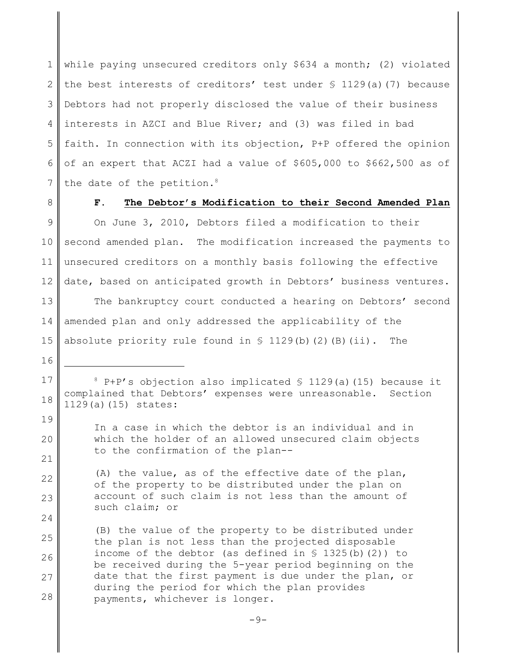1 2 3 4 5 6 7 while paying unsecured creditors only \$634 a month; (2) violated the best interests of creditors' test under  $\S$  1129(a)(7) because Debtors had not properly disclosed the value of their business interests in AZCI and Blue River; and (3) was filed in bad faith. In connection with its objection, P+P offered the opinion of an expert that ACZI had a value of \$605,000 to \$662,500 as of the date of the petition.<sup>8</sup>

8

16

19

20

21

22

23

24

### **F. The Debtor's Modification to their Second Amended Plan**

9 10 11 12 On June 3, 2010, Debtors filed a modification to their second amended plan. The modification increased the payments to unsecured creditors on a monthly basis following the effective date, based on anticipated growth in Debtors' business ventures.

13 14 15 The bankruptcy court conducted a hearing on Debtors' second amended plan and only addressed the applicability of the absolute priority rule found in  $S$  1129(b)(2)(B)(ii). The

17 18  $8$  P+P's objection also implicated  $\$$  1129(a)(15) because it complained that Debtors' expenses were unreasonable. Section 1129(a)(15) states:

In a case in which the debtor is an individual and in which the holder of an allowed unsecured claim objects to the confirmation of the plan--

(A) the value, as of the effective date of the plan, of the property to be distributed under the plan on account of such claim is not less than the amount of such claim; or

25 26 27 28 (B) the value of the property to be distributed under the plan is not less than the projected disposable income of the debtor (as defined in  $\S$  1325(b)(2)) to be received during the 5-year period beginning on the date that the first payment is due under the plan, or during the period for which the plan provides payments, whichever is longer.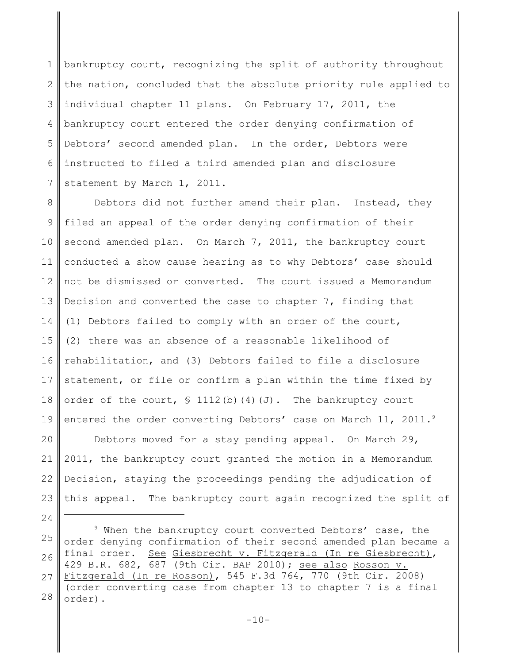1 2 3 4 5 6 7 bankruptcy court, recognizing the split of authority throughout the nation, concluded that the absolute priority rule applied to individual chapter 11 plans. On February 17, 2011, the bankruptcy court entered the order denying confirmation of Debtors' second amended plan. In the order, Debtors were instructed to filed a third amended plan and disclosure statement by March 1, 2011.

8 9 10 11 12 13 14 15 16 17 18 19 Debtors did not further amend their plan. Instead, they filed an appeal of the order denying confirmation of their second amended plan. On March 7, 2011, the bankruptcy court conducted a show cause hearing as to why Debtors' case should not be dismissed or converted. The court issued a Memorandum Decision and converted the case to chapter 7, finding that (1) Debtors failed to comply with an order of the court, (2) there was an absence of a reasonable likelihood of rehabilitation, and (3) Debtors failed to file a disclosure statement, or file or confirm a plan within the time fixed by order of the court,  $\frac{112(b)(4)(J)}{J}$ . The bankruptcy court entered the order converting Debtors' case on March 11, 2011.<sup>9</sup>

20 21 22 23 Debtors moved for a stay pending appeal. On March 29, 2011, the bankruptcy court granted the motion in a Memorandum Decision, staying the proceedings pending the adjudication of this appeal. The bankruptcy court again recognized the split of

25 26 27 28  $9$  When the bankruptcy court converted Debtors' case, the order denying confirmation of their second amended plan became a final order. See Giesbrecht v. Fitzgerald (In re Giesbrecht), 429 B.R. 682, 687 (9th Cir. BAP 2010); see also Rosson v. Fitzgerald (In re Rosson), 545 F.3d 764, 770 (9th Cir. 2008) (order converting case from chapter 13 to chapter 7 is a final order).

24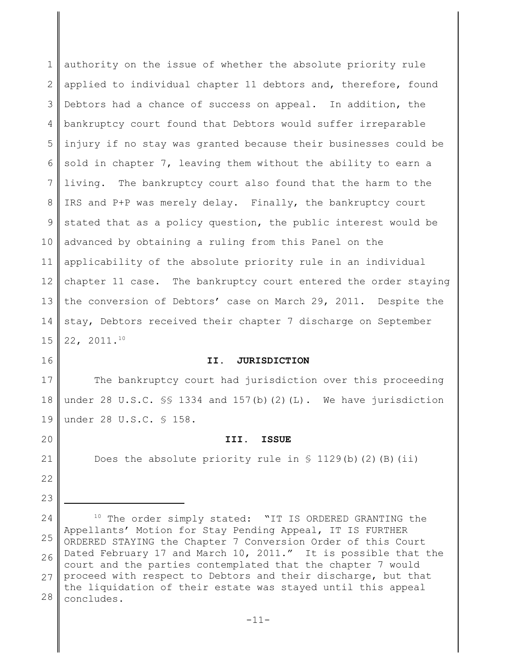1 2 3 4 5 6 7 8 9 10 11 12 13 14 15 authority on the issue of whether the absolute priority rule applied to individual chapter 11 debtors and, therefore, found Debtors had a chance of success on appeal. In addition, the bankruptcy court found that Debtors would suffer irreparable injury if no stay was granted because their businesses could be sold in chapter 7, leaving them without the ability to earn a living. The bankruptcy court also found that the harm to the IRS and P+P was merely delay. Finally, the bankruptcy court stated that as a policy question, the public interest would be advanced by obtaining a ruling from this Panel on the applicability of the absolute priority rule in an individual chapter 11 case. The bankruptcy court entered the order staying the conversion of Debtors' case on March 29, 2011. Despite the stay, Debtors received their chapter 7 discharge on September 22, 2011.<sup>10</sup>

16

20

21

22

23

#### **II. JURISDICTION**

17 18 19 The bankruptcy court had jurisdiction over this proceeding under 28 U.S.C.  $\frac{1}{5}$  1334 and 157(b)(2)(L). We have jurisdiction under 28 U.S.C. § 158.

#### **III. ISSUE**

Does the absolute priority rule in  $\frac{1}{2}$  (b)(2)(B)(ii)

<sup>24</sup> 25 26 27 28  $10$  The order simply stated: "IT IS ORDERED GRANTING the Appellants' Motion for Stay Pending Appeal, IT IS FURTHER ORDERED STAYING the Chapter 7 Conversion Order of this Court Dated February 17 and March 10, 2011." It is possible that the court and the parties contemplated that the chapter 7 would proceed with respect to Debtors and their discharge, but that the liquidation of their estate was stayed until this appeal concludes.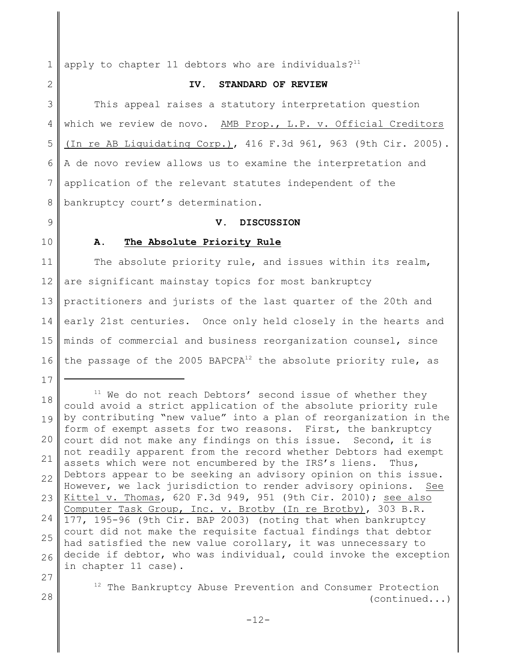1 apply to chapter 11 debtors who are individuals? $11$ 

# 2

#### **IV. STANDARD OF REVIEW**

3 4 5 6 7 8 This appeal raises a statutory interpretation question which we review de novo. AMB Prop., L.P. v. Official Creditors (In re AB Liquidating Corp.), 416 F.3d 961, 963 (9th Cir. 2005). A de novo review allows us to examine the interpretation and application of the relevant statutes independent of the bankruptcy court's determination.

### **V. DISCUSSION**

9 10

# **A. The Absolute Priority Rule**

11 12 13 14 15 16 The absolute priority rule, and issues within its realm, are significant mainstay topics for most bankruptcy practitioners and jurists of the last quarter of the 20th and early 21st centuries. Once only held closely in the hearts and minds of commercial and business reorganization counsel, since the passage of the 2005 BAPCPA $^{12}$  the absolute priority rule, as

17

18 19 20 21 22 23 24 25 26  $11$  We do not reach Debtors' second issue of whether they could avoid a strict application of the absolute priority rule by contributing "new value" into a plan of reorganization in the form of exempt assets for two reasons. First, the bankruptcy court did not make any findings on this issue. Second, it is not readily apparent from the record whether Debtors had exempt assets which were not encumbered by the IRS's liens. Thus, Debtors appear to be seeking an advisory opinion on this issue. However, we lack jurisdiction to render advisory opinions. See Kittel v. Thomas, 620 F.3d 949, 951 (9th Cir. 2010); see also Computer Task Group, Inc. v. Brotby (In re Brotby), 303 B.R. 177, 195-96 (9th Cir. BAP 2003) (noting that when bankruptcy court did not make the requisite factual findings that debtor had satisfied the new value corollary, it was unnecessary to decide if debtor, who was individual, could invoke the exception in chapter 11 case).

27 28

 $12$  The Bankruptcy Abuse Prevention and Consumer Protection (continued...)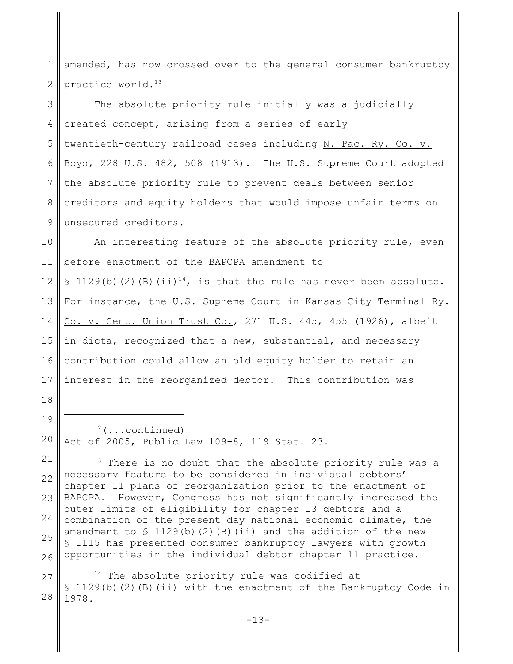1 2 amended, has now crossed over to the general consumer bankruptcy practice world.<sup>13</sup>

3 4 5 6 7 8 9 The absolute priority rule initially was a judicially created concept, arising from a series of early twentieth-century railroad cases including N. Pac. Ry. Co. v. Boyd, 228 U.S. 482, 508 (1913). The U.S. Supreme Court adopted the absolute priority rule to prevent deals between senior creditors and equity holders that would impose unfair terms on unsecured creditors.

10 11 12 13 14 15 16 17 An interesting feature of the absolute priority rule, even before enactment of the BAPCPA amendment to § 1129(b)(2)(B)(ii)<sup>14</sup>, is that the rule has never been absolute. For instance, the U.S. Supreme Court in Kansas City Terminal Ry. Co. v. Cent. Union Trust Co., 271 U.S. 445, 455 (1926), albeit in dicta, recognized that a new, substantial, and necessary contribution could allow an old equity holder to retain an interest in the reorganized debtor. This contribution was

18

19

20

 $12$  (...continued) Act of 2005, Public Law 109-8, 119 Stat. 23.

21 22 23 24 25 26  $13$  There is no doubt that the absolute priority rule was a necessary feature to be considered in individual debtors' chapter 11 plans of reorganization prior to the enactment of BAPCPA. However, Congress has not significantly increased the outer limits of eligibility for chapter 13 debtors and a combination of the present day national economic climate, the amendment to  $\frac{129(b)(2)(B)(ii)}{20(b)(2)}$  and the addition of the new § 1115 has presented consumer bankruptcy lawyers with growth opportunities in the individual debtor chapter 11 practice.

27 28  $14$  The absolute priority rule was codified at § 1129(b)(2)(B)(ii) with the enactment of the Bankruptcy Code in 1978.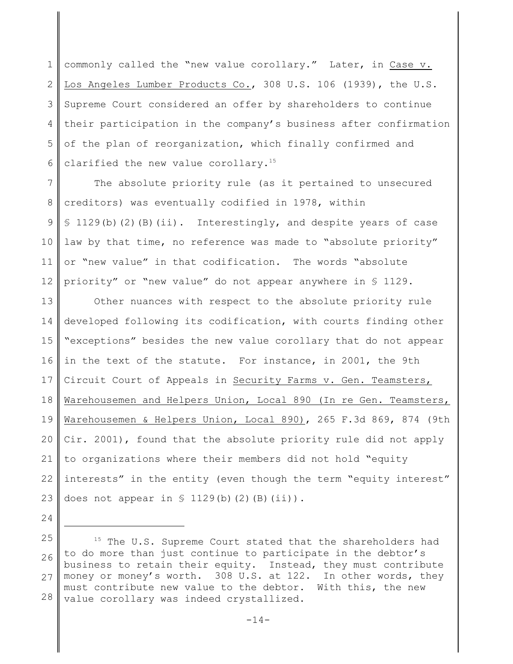1 2 3 4 5 6 commonly called the "new value corollary." Later, in Case v. Los Angeles Lumber Products Co., 308 U.S. 106 (1939), the U.S. Supreme Court considered an offer by shareholders to continue their participation in the company's business after confirmation of the plan of reorganization, which finally confirmed and clarified the new value corollary.<sup>15</sup>

7 8 9 10 11 12 The absolute priority rule (as it pertained to unsecured creditors) was eventually codified in 1978, within § 1129(b)(2)(B)(ii). Interestingly, and despite years of case law by that time, no reference was made to "absolute priority" or "new value" in that codification. The words "absolute priority" or "new value" do not appear anywhere in § 1129.

13 14 15 16 17 18 19 20 21 22 23 Other nuances with respect to the absolute priority rule developed following its codification, with courts finding other "exceptions" besides the new value corollary that do not appear in the text of the statute. For instance, in 2001, the 9th Circuit Court of Appeals in Security Farms v. Gen. Teamsters, Warehousemen and Helpers Union, Local 890 (In re Gen. Teamsters, Warehousemen & Helpers Union, Local 890), 265 F.3d 869, 874 (9th Cir. 2001), found that the absolute priority rule did not apply to organizations where their members did not hold "equity interests" in the entity (even though the term "equity interest" does not appear in  $\frac{129}{b}$ (b)(2)(B)(ii)).

24 25 26 27 28  $15$  The U.S. Supreme Court stated that the shareholders had to do more than just continue to participate in the debtor's business to retain their equity. Instead, they must contribute money or money's worth. 308 U.S. at 122. In other words, they must contribute new value to the debtor. With this, the new value corollary was indeed crystallized.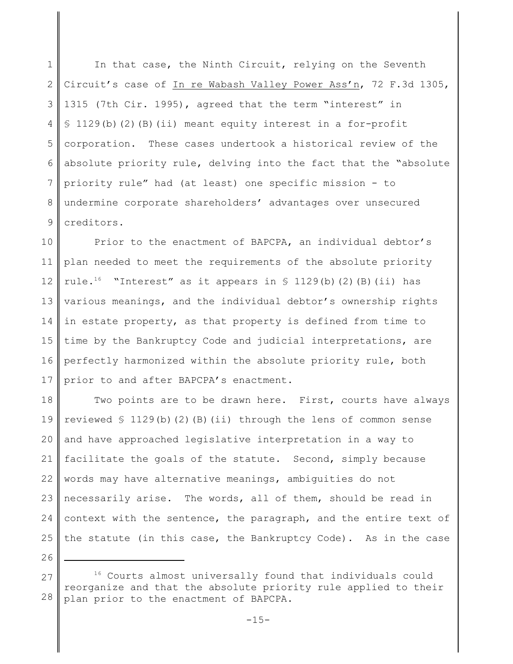1 2 3 4 5 6 7 8 9 In that case, the Ninth Circuit, relying on the Seventh Circuit's case of In re Wabash Valley Power Ass'n, 72 F.3d 1305, 1315 (7th Cir. 1995), agreed that the term "interest" in § 1129(b)(2)(B)(ii) meant equity interest in a for-profit corporation. These cases undertook a historical review of the absolute priority rule, delving into the fact that the "absolute priority rule" had (at least) one specific mission - to undermine corporate shareholders' advantages over unsecured creditors.

10 11 12 13 14 15 16 17 Prior to the enactment of BAPCPA, an individual debtor's plan needed to meet the requirements of the absolute priority rule.<sup>16</sup> "Interest" as it appears in  $\frac{1}{2}$  1129(b)(2)(B)(ii) has various meanings, and the individual debtor's ownership rights in estate property, as that property is defined from time to time by the Bankruptcy Code and judicial interpretations, are perfectly harmonized within the absolute priority rule, both prior to and after BAPCPA's enactment.

18 19 20 21 22 23 24 25 Two points are to be drawn here. First, courts have always reviewed  $\frac{129(b)}{2}$  (B)(ii) through the lens of common sense and have approached legislative interpretation in a way to facilitate the goals of the statute. Second, simply because words may have alternative meanings, ambiguities do not necessarily arise. The words, all of them, should be read in context with the sentence, the paragraph, and the entire text of the statute (in this case, the Bankruptcy Code). As in the case

26

<sup>27</sup> 28 <sup>16</sup> Courts almost universally found that individuals could reorganize and that the absolute priority rule applied to their plan prior to the enactment of BAPCPA.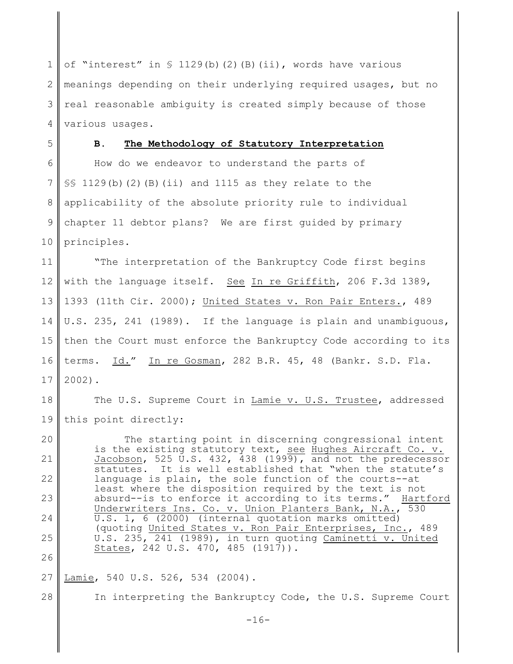1 2 3 4 of "interest" in  $\frac{129(b)}{2}$  (B)(ii), words have various meanings depending on their underlying required usages, but no real reasonable ambiguity is created simply because of those various usages.

5 6 7 8 9 10 **B. The Methodology of Statutory Interpretation** How do we endeavor to understand the parts of  $\S$ § 1129(b)(2)(B)(ii) and 1115 as they relate to the applicability of the absolute priority rule to individual chapter 11 debtor plans? We are first guided by primary principles.

11 12 13 14 15 16 17 "The interpretation of the Bankruptcy Code first begins with the language itself. See In re Griffith, 206 F.3d 1389, 1393 (11th Cir. 2000); United States v. Ron Pair Enters., 489 U.S. 235, 241 (1989). If the language is plain and unambiguous, then the Court must enforce the Bankruptcy Code according to its terms. Id." In re Gosman, 282 B.R. 45, 48 (Bankr. S.D. Fla. 2002).

18 19 The U.S. Supreme Court in Lamie v. U.S. Trustee, addressed this point directly:

20 21 22 23 24 25 26 The starting point in discerning congressional intent is the existing statutory text, see Hughes Aircraft Co. v. Jacobson, 525 U.S. 432, 438 (1999), and not the predecessor statutes. It is well established that "when the statute's language is plain, the sole function of the courts--at least where the disposition required by the text is not absurd--is to enforce it according to its terms." Hartford Underwriters Ins. Co. v. Union Planters Bank, N.A., 530 U.S. 1, 6 (2000) (internal quotation marks omitted) (quoting United States v. Ron Pair Enterprises, Inc., 489 U.S. 235, 241 (1989), in turn quoting Caminetti v. United States, 242 U.S. 470, 485 (1917)).

#### 27 Lamie, 540 U.S. 526, 534 (2004).

28

In interpreting the Bankruptcy Code, the U.S. Supreme Court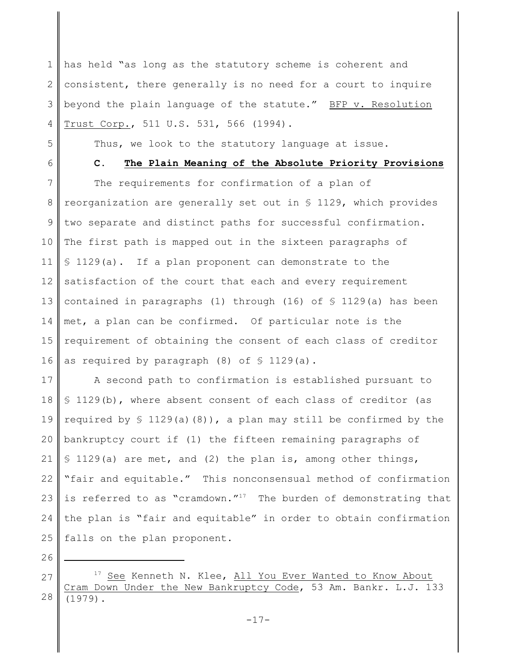1 2 3 4 has held "as long as the statutory scheme is coherent and consistent, there generally is no need for a court to inquire beyond the plain language of the statute." BFP v. Resolution Trust Corp., 511 U.S. 531, 566 (1994).

5

6

Thus, we look to the statutory language at issue.

**C. The Plain Meaning of the Absolute Priority Provisions**

7 8 9 10 11 12 13 14 15 16 The requirements for confirmation of a plan of reorganization are generally set out in § 1129, which provides two separate and distinct paths for successful confirmation. The first path is mapped out in the sixteen paragraphs of § 1129(a). If a plan proponent can demonstrate to the satisfaction of the court that each and every requirement contained in paragraphs (1) through (16) of  $\frac{1}{2}$  1129(a) has been met, a plan can be confirmed. Of particular note is the requirement of obtaining the consent of each class of creditor as required by paragraph  $(8)$  of  $\frac{129}{a}$ .

17 18 19 20 21 22 23 24 25 A second path to confirmation is established pursuant to § 1129(b), where absent consent of each class of creditor (as required by  $\frac{129}{a}(8)$ , a plan may still be confirmed by the bankruptcy court if (1) the fifteen remaining paragraphs of § 1129(a) are met, and (2) the plan is, among other things, "fair and equitable." This nonconsensual method of confirmation is referred to as "cramdown."<sup>17</sup> The burden of demonstrating that the plan is "fair and equitable" in order to obtain confirmation falls on the plan proponent.

26

27 28  $17$  See Kenneth N. Klee, All You Ever Wanted to Know About Cram Down Under the New Bankruptcy Code, 53 Am. Bankr. L.J. 133 (1979).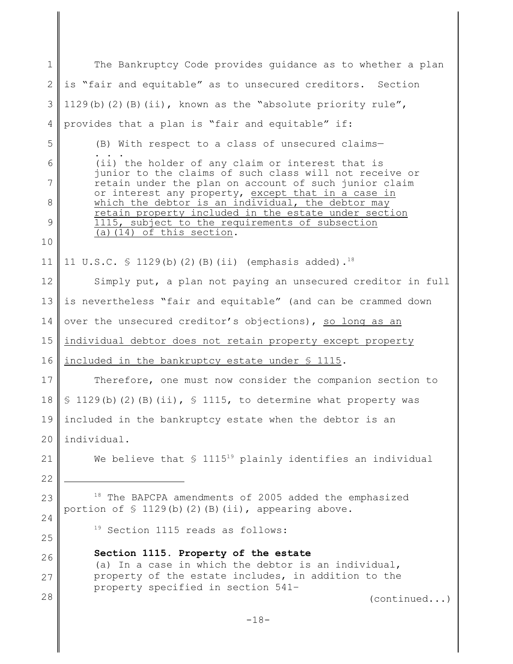1 2 3 4 5 6 7 8 9 10 11 12 13 14 15 16 17 18 19 20 21 22 23 24 25 26 27 28  $18$  The BAPCPA amendments of 2005 added the emphasized portion of  $\frac{129(b)}{2}$ (b)(2)(B)(ii), appearing above.  $19$  Section 1115 reads as follows: **Section 1115. Property of the estate** (a) In a case in which the debtor is an individual, property of the estate includes, in addition to the property specified in section 541– (continued...)  $-18-$ The Bankruptcy Code provides guidance as to whether a plan is "fair and equitable" as to unsecured creditors. Section 1129(b)(2)(B)(ii), known as the "absolute priority rule", provides that a plan is "fair and equitable" if: (B) With respect to a class of unsecured claims— . . . (ii) the holder of any claim or interest that is junior to the claims of such class will not receive or retain under the plan on account of such junior claim or interest any property, except that in a case in which the debtor is an individual, the debtor may retain property included in the estate under section 1115, subject to the requirements of subsection (a)(14) of this section. 11 U.S.C.  $\frac{129(b)}{2}$  (B)(ii) (emphasis added).<sup>18</sup> Simply put, a plan not paying an unsecured creditor in full is nevertheless "fair and equitable" (and can be crammed down over the unsecured creditor's objections), so long as an individual debtor does not retain property except property included in the bankruptcy estate under § 1115. Therefore, one must now consider the companion section to  $$ 1129(b)(2)(B)(ii), $ 1115, to determine what property was$ included in the bankruptcy estate when the debtor is an individual. We believe that  $\frac{1}{2}$  1115<sup>19</sup> plainly identifies an individual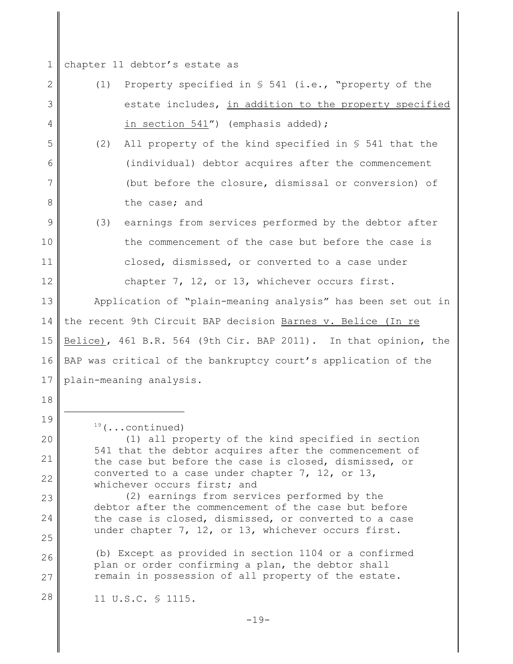1 chapter 11 debtor's estate as

- 2 3 4 5 6 7 8 9 10 11 12 13 14 15 16 17 18 (1) Property specified in § 541 (i.e., "property of the estate includes, in addition to the property specified in section 541") (emphasis added); (2) All property of the kind specified in § 541 that the (individual) debtor acquires after the commencement (but before the closure, dismissal or conversion) of the case; and (3) earnings from services performed by the debtor after the commencement of the case but before the case is closed, dismissed, or converted to a case under chapter 7, 12, or 13, whichever occurs first. Application of "plain-meaning analysis" has been set out in the recent 9th Circuit BAP decision Barnes v. Belice (In re Belice), 461 B.R. 564 (9th Cir. BAP 2011). In that opinion, the BAP was critical of the bankruptcy court's application of the plain-meaning analysis.
- 19

20

21

22

23

24

25

 $19$  (...continued)

(1) all property of the kind specified in section 541 that the debtor acquires after the commencement of the case but before the case is closed, dismissed, or converted to a case under chapter 7, 12, or 13, whichever occurs first; and

(2) earnings from services performed by the debtor after the commencement of the case but before the case is closed, dismissed, or converted to a case under chapter 7, 12, or 13, whichever occurs first.

26 27 (b) Except as provided in section 1104 or a confirmed plan or order confirming a plan, the debtor shall remain in possession of all property of the estate.

28 11 U.S.C. § 1115.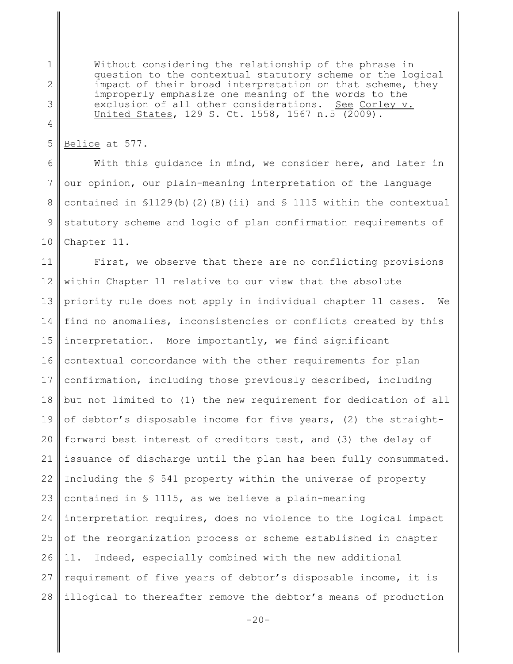Without considering the relationship of the phrase in question to the contextual statutory scheme or the logical impact of their broad interpretation on that scheme, they improperly emphasize one meaning of the words to the exclusion of all other considerations. See Corley v. United States, 129 S. Ct. 1558, 1567 n.5 (2009).

5 Belice at 577.

1

2

3

4

6 7 8 9 10 With this guidance in mind, we consider here, and later in our opinion, our plain-meaning interpretation of the language contained in  $$1129(b)$  (2)(B)(ii) and  $$1115$  within the contextual statutory scheme and logic of plan confirmation requirements of Chapter 11.

11 12 13 14 15 16 17 18 19 20 21 22 23 24 25 26 27 28 First, we observe that there are no conflicting provisions within Chapter 11 relative to our view that the absolute priority rule does not apply in individual chapter 11 cases. We find no anomalies, inconsistencies or conflicts created by this interpretation. More importantly, we find significant contextual concordance with the other requirements for plan confirmation, including those previously described, including but not limited to (1) the new requirement for dedication of all of debtor's disposable income for five years, (2) the straightforward best interest of creditors test, and (3) the delay of issuance of discharge until the plan has been fully consummated. Including the § 541 property within the universe of property contained in § 1115, as we believe a plain-meaning interpretation requires, does no violence to the logical impact of the reorganization process or scheme established in chapter 11. Indeed, especially combined with the new additional requirement of five years of debtor's disposable income, it is illogical to thereafter remove the debtor's means of production

 $-20-$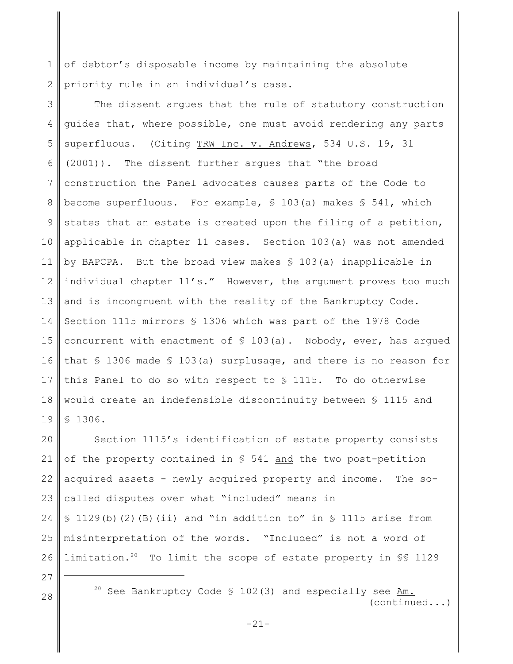1 2 of debtor's disposable income by maintaining the absolute priority rule in an individual's case.

3 4 5 6 7 8 9 10 11 12 13 14 15 16 17 18 19 The dissent argues that the rule of statutory construction guides that, where possible, one must avoid rendering any parts superfluous. (Citing TRW Inc. v. Andrews, 534 U.S. 19, 31 (2001)). The dissent further argues that "the broad construction the Panel advocates causes parts of the Code to become superfluous. For example, § 103(a) makes § 541, which states that an estate is created upon the filing of a petition, applicable in chapter 11 cases. Section 103(a) was not amended by BAPCPA. But the broad view makes § 103(a) inapplicable in individual chapter 11's." However, the argument proves too much and is incongruent with the reality of the Bankruptcy Code. Section 1115 mirrors § 1306 which was part of the 1978 Code concurrent with enactment of § 103(a). Nobody, ever, has argued that § 1306 made § 103(a) surplusage, and there is no reason for this Panel to do so with respect to § 1115. To do otherwise would create an indefensible discontinuity between § 1115 and § 1306.

20 21 22 23 24 25 26 Section 1115's identification of estate property consists of the property contained in § 541 and the two post-petition acquired assets - newly acquired property and income. The socalled disputes over what "included" means in  $\S$  1129(b)(2)(B)(ii) and "in addition to" in  $\S$  1115 arise from misinterpretation of the words. "Included" is not a word of limitation.<sup>20</sup> To limit the scope of estate property in  $\S$ § 1129

27

 $28$   $28$  See Bankruptcy Code § 102(3) and especially see  $\frac{\text{Am}}{10}$ . (continued...)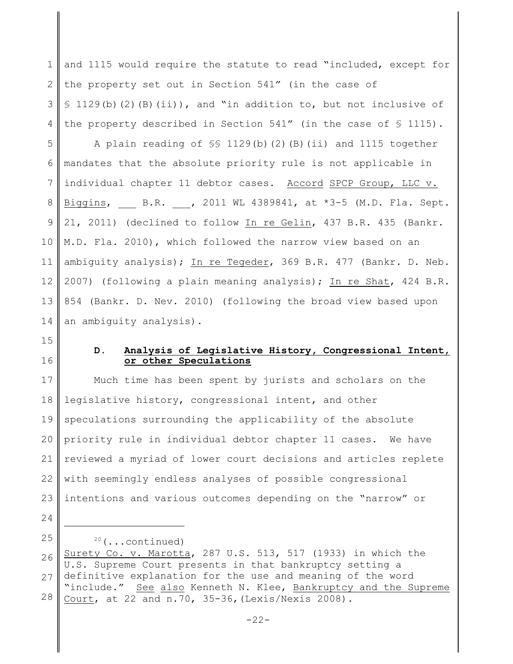1 2 3 4 and 1115 would require the statute to read "included, except for the property set out in Section 541" (in the case of  $\S$  1129(b)(2)(B)(ii)), and "in addition to, but not inclusive of the property described in Section 541" (in the case of § 1115).

5 6 7 8 9 10 11 12 13 14 A plain reading of §§ 1129(b)(2)(B)(ii) and 1115 together mandates that the absolute priority rule is not applicable in individual chapter 11 debtor cases. Accord SPCP Group, LLC v. Biggins, B.R. , 2011 WL 4389841, at \*3-5 (M.D. Fla. Sept. 21, 2011) (declined to follow In re Gelin, 437 B.R. 435 (Bankr. M.D. Fla. 2010), which followed the narrow view based on an ambiguity analysis); In re Tegeder, 369 B.R. 477 (Bankr. D. Neb. 2007) (following a plain meaning analysis); In re Shat, 424 B.R. 854 (Bankr. D. Nev. 2010) (following the broad view based upon an ambiguity analysis).

15

16

#### **D. Analysis of Legislative History, Congressional Intent, or other Speculations**

17 18 19 20 21 22 23 Much time has been spent by jurists and scholars on the legislative history, congressional intent, and other speculations surrounding the applicability of the absolute priority rule in individual debtor chapter 11 cases. We have reviewed a myriad of lower court decisions and articles replete with seemingly endless analyses of possible congressional intentions and various outcomes depending on the "narrow" or

24

25

 $20$  (...continued)

26 27 28 Surety Co. v. Marotta, 287 U.S. 513, 517 (1933) in which the U.S. Supreme Court presents in that bankruptcy setting a definitive explanation for the use and meaning of the word "include." See also Kenneth N. Klee, Bankruptcy and the Supreme Court, at 22 and n.70, 35-36,(Lexis/Nexis 2008).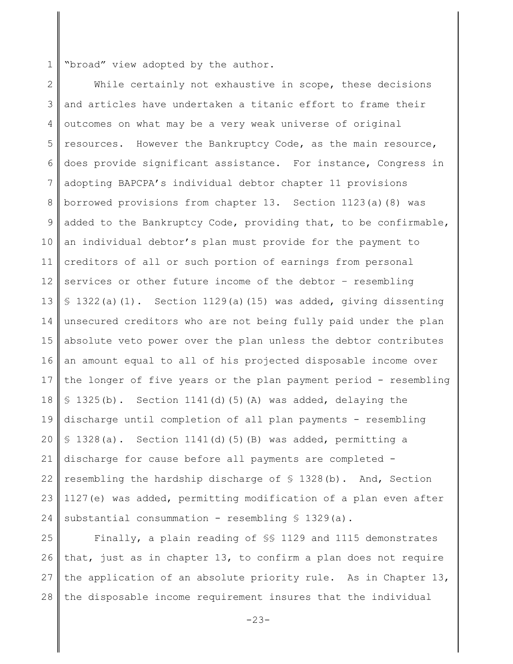1 "broad" view adopted by the author.

2 3 4 5 6 7 8 9 10 11 12 13 14 15 16 17 18 19 20 21 22 23 24 While certainly not exhaustive in scope, these decisions and articles have undertaken a titanic effort to frame their outcomes on what may be a very weak universe of original resources. However the Bankruptcy Code, as the main resource, does provide significant assistance. For instance, Congress in adopting BAPCPA's individual debtor chapter 11 provisions borrowed provisions from chapter 13. Section 1123(a)(8) was added to the Bankruptcy Code, providing that, to be confirmable, an individual debtor's plan must provide for the payment to creditors of all or such portion of earnings from personal services or other future income of the debtor – resembling  $$ 1322(a)(1)$ . Section 1129(a)(15) was added, giving dissenting unsecured creditors who are not being fully paid under the plan absolute veto power over the plan unless the debtor contributes an amount equal to all of his projected disposable income over the longer of five years or the plan payment period - resembling  $$ 1325(b)$ . Section 1141(d)(5)(A) was added, delaying the discharge until completion of all plan payments - resembling § 1328(a). Section 1141(d)(5)(B) was added, permitting a discharge for cause before all payments are completed resembling the hardship discharge of § 1328(b). And, Section 1127(e) was added, permitting modification of a plan even after substantial consummation - resembling § 1329(a).

25 26 27 28 Finally, a plain reading of §§ 1129 and 1115 demonstrates that, just as in chapter 13, to confirm a plan does not require the application of an absolute priority rule. As in Chapter 13, the disposable income requirement insures that the individual

-23-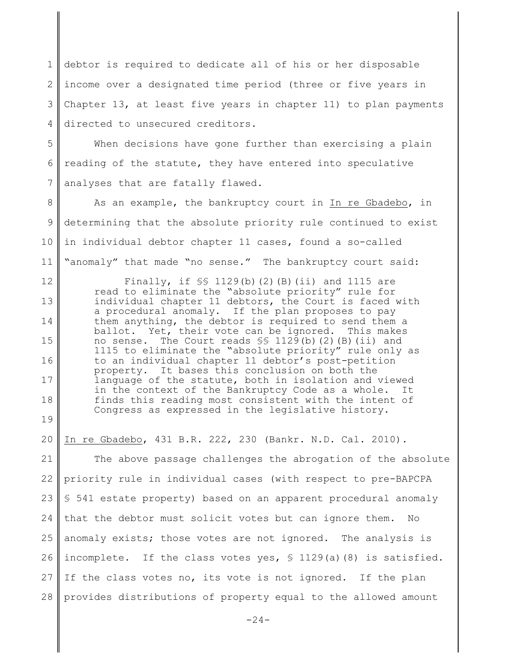1 2 3 4 debtor is required to dedicate all of his or her disposable income over a designated time period (three or five years in Chapter 13, at least five years in chapter 11) to plan payments directed to unsecured creditors.

5 6 7 When decisions have gone further than exercising a plain reading of the statute, they have entered into speculative analyses that are fatally flawed.

8 9 10 11 As an example, the bankruptcy court in In re Gbadebo, in determining that the absolute priority rule continued to exist in individual debtor chapter 11 cases, found a so-called "anomaly" that made "no sense." The bankruptcy court said:

12

13

14

15

16

17

18

19

20

Finally, if  $\frac{129(b)}{2}$  (B)(ii) and 1115 are read to eliminate the "absolute priority" rule for individual chapter 11 debtors, the Court is faced with a procedural anomaly. If the plan proposes to pay them anything, the debtor is required to send them a ballot. Yet, their vote can be ignored. This makes no sense. The Court reads §§ 1129(b)(2)(B)(ii) and 1115 to eliminate the "absolute priority" rule only as to an individual chapter 11 debtor's post-petition property. It bases this conclusion on both the language of the statute, both in isolation and viewed in the context of the Bankruptcy Code as a whole. It finds this reading most consistent with the intent of Congress as expressed in the legislative history.

In re Gbadebo, 431 B.R. 222, 230 (Bankr. N.D. Cal. 2010).

21 22 23 24 25 26 27 28 The above passage challenges the abrogation of the absolute priority rule in individual cases (with respect to pre-BAPCPA § 541 estate property) based on an apparent procedural anomaly that the debtor must solicit votes but can ignore them. No anomaly exists; those votes are not ignored. The analysis is incomplete. If the class votes yes, § 1129(a)(8) is satisfied. If the class votes no, its vote is not ignored. If the plan provides distributions of property equal to the allowed amount

 $-24-$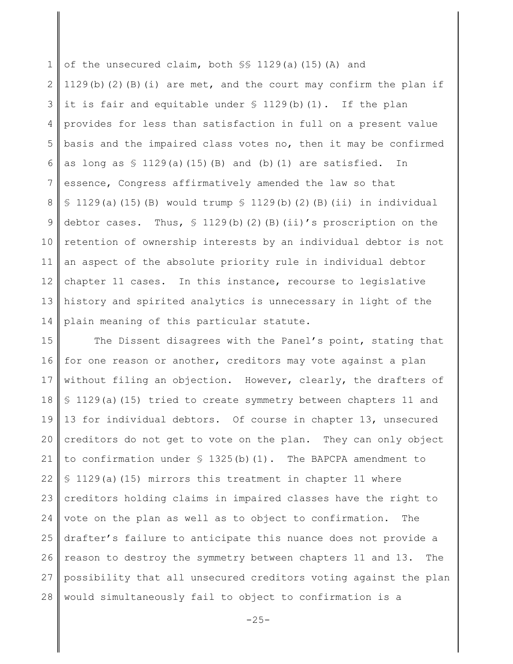1 2 3 4 5 6 7 8 9 10 11 12 13 14 of the unsecured claim, both §§ 1129(a)(15)(A) and 1129(b)(2)(B)(i) are met, and the court may confirm the plan if it is fair and equitable under  $\S$  1129(b)(1). If the plan provides for less than satisfaction in full on a present value basis and the impaired class votes no, then it may be confirmed as long as  $\frac{129(a)(15(b))}{b}$  and (b)(1) are satisfied. In essence, Congress affirmatively amended the law so that  $$ 1129(a)(15)(B)$  would trump  $$ 1129(b)(2)(B)(ii)$  in individual debtor cases. Thus, § 1129(b)(2)(B)(ii)'s proscription on the retention of ownership interests by an individual debtor is not an aspect of the absolute priority rule in individual debtor chapter 11 cases. In this instance, recourse to legislative history and spirited analytics is unnecessary in light of the plain meaning of this particular statute.

15 16 17 18 19 20 21 22 23 24 25 26 27 28 The Dissent disagrees with the Panel's point, stating that for one reason or another, creditors may vote against a plan without filing an objection. However, clearly, the drafters of § 1129(a)(15) tried to create symmetry between chapters 11 and 13 for individual debtors. Of course in chapter 13, unsecured creditors do not get to vote on the plan. They can only object to confirmation under  $\frac{1325(b)}{11}$ . The BAPCPA amendment to § 1129(a)(15) mirrors this treatment in chapter 11 where creditors holding claims in impaired classes have the right to vote on the plan as well as to object to confirmation. The drafter's failure to anticipate this nuance does not provide a reason to destroy the symmetry between chapters 11 and 13. The possibility that all unsecured creditors voting against the plan would simultaneously fail to object to confirmation is a

 $-25-$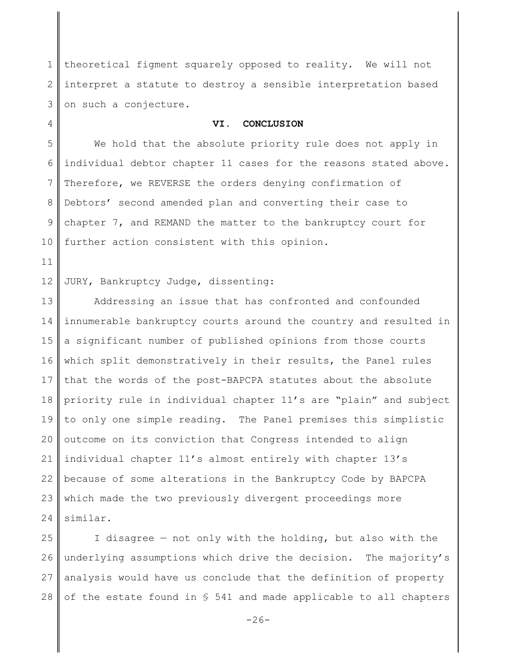1 2 3 theoretical figment squarely opposed to reality. We will not interpret a statute to destroy a sensible interpretation based on such a conjecture.

#### **VI. CONCLUSION**

5 6 7 8 9 10 We hold that the absolute priority rule does not apply in individual debtor chapter 11 cases for the reasons stated above. Therefore, we REVERSE the orders denying confirmation of Debtors' second amended plan and converting their case to chapter 7, and REMAND the matter to the bankruptcy court for further action consistent with this opinion.

11

4

12 JURY, Bankruptcy Judge, dissenting:

13 14 15 16 17 18 19 20 21 22 23 24 Addressing an issue that has confronted and confounded innumerable bankruptcy courts around the country and resulted in a significant number of published opinions from those courts which split demonstratively in their results, the Panel rules that the words of the post-BAPCPA statutes about the absolute priority rule in individual chapter 11's are "plain" and subject to only one simple reading. The Panel premises this simplistic outcome on its conviction that Congress intended to align individual chapter 11's almost entirely with chapter 13's because of some alterations in the Bankruptcy Code by BAPCPA which made the two previously divergent proceedings more similar.

25 26 27 28 I disagree — not only with the holding, but also with the underlying assumptions which drive the decision. The majority's analysis would have us conclude that the definition of property of the estate found in § 541 and made applicable to all chapters

 $-26-$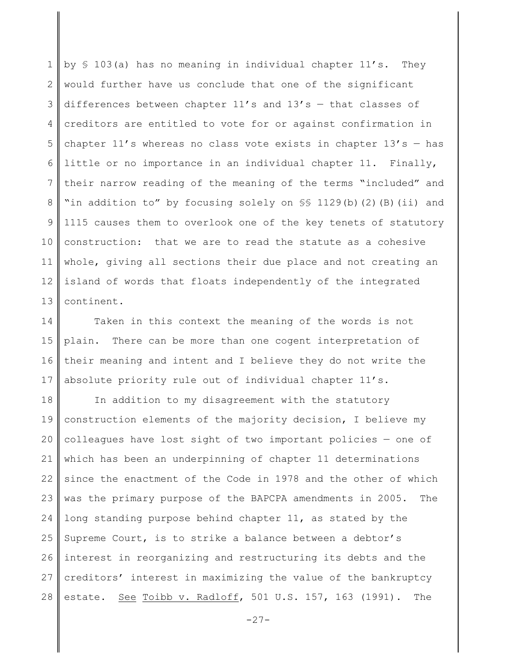1 2 3 4 5 6 7 8 9 10 11 12 13 by § 103(a) has no meaning in individual chapter 11's. They would further have us conclude that one of the significant differences between chapter  $11's$  and  $13's$  - that classes of creditors are entitled to vote for or against confirmation in chapter  $11'$ s whereas no class vote exists in chapter  $13's -$  has little or no importance in an individual chapter 11. Finally, their narrow reading of the meaning of the terms "included" and "in addition to" by focusing solely on SS 1129(b)(2)(B)(ii) and 1115 causes them to overlook one of the key tenets of statutory construction: that we are to read the statute as a cohesive whole, giving all sections their due place and not creating an island of words that floats independently of the integrated continent.

14 15 16 17 Taken in this context the meaning of the words is not plain. There can be more than one cogent interpretation of their meaning and intent and I believe they do not write the absolute priority rule out of individual chapter 11's.

18 19 20 21 22 23 24 25 26 27 28 In addition to my disagreement with the statutory construction elements of the majority decision, I believe my colleagues have lost sight of two important policies — one of which has been an underpinning of chapter 11 determinations since the enactment of the Code in 1978 and the other of which was the primary purpose of the BAPCPA amendments in 2005. The long standing purpose behind chapter 11, as stated by the Supreme Court, is to strike a balance between a debtor's interest in reorganizing and restructuring its debts and the creditors' interest in maximizing the value of the bankruptcy estate. See Toibb v. Radloff, 501 U.S. 157, 163 (1991). The

 $-27-$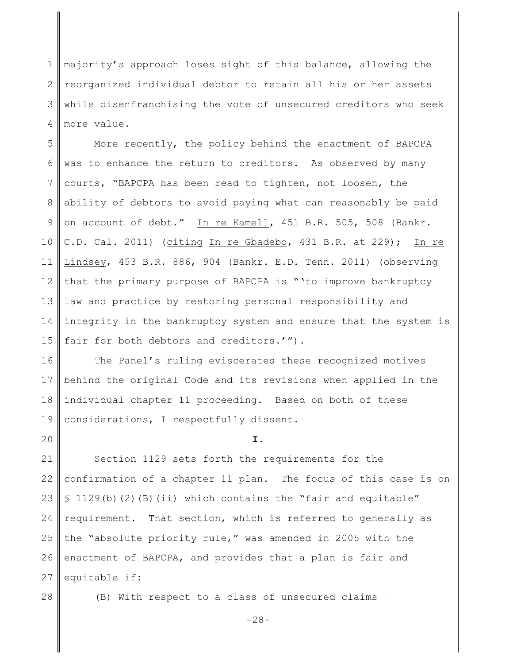1 2 3 4 majority's approach loses sight of this balance, allowing the reorganized individual debtor to retain all his or her assets while disenfranchising the vote of unsecured creditors who seek more value.

5 6 7 8 9 10 11 12 13 14 15 More recently, the policy behind the enactment of BAPCPA was to enhance the return to creditors. As observed by many courts, "BAPCPA has been read to tighten, not loosen, the ability of debtors to avoid paying what can reasonably be paid on account of debt." In re Kamell, 451 B.R. 505, 508 (Bankr. C.D. Cal. 2011) (citing In re Gbadebo, 431 B.R. at 229); In re Lindsey, 453 B.R. 886, 904 (Bankr. E.D. Tenn. 2011) (observing that the primary purpose of BAPCPA is "'to improve bankruptcy law and practice by restoring personal responsibility and integrity in the bankruptcy system and ensure that the system is fair for both debtors and creditors.'").

16 17 18 19 The Panel's ruling eviscerates these recognized motives behind the original Code and its revisions when applied in the individual chapter 11 proceeding. Based on both of these considerations, I respectfully dissent.

20

**I.**

21 22 23 24 25 26 27 Section 1129 sets forth the requirements for the confirmation of a chapter 11 plan. The focus of this case is on § 1129(b)(2)(B)(ii) which contains the "fair and equitable" requirement. That section, which is referred to generally as the "absolute priority rule," was amended in 2005 with the enactment of BAPCPA, and provides that a plan is fair and equitable if:

28

(B) With respect to a class of unsecured claims —

-28-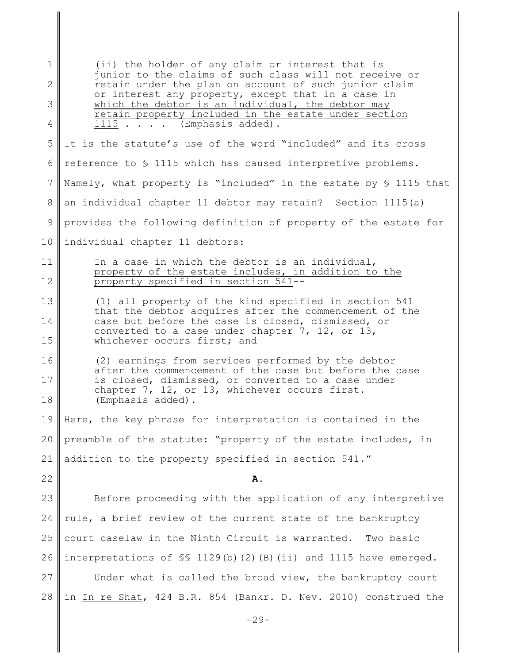1 2 3 4 5 6 7 8 9 10 11 12 13 14 15 16 17 18 19 20 21 22 23 24 25 26 27 28  $-29-$ (ii) the holder of any claim or interest that is junior to the claims of such class will not receive or retain under the plan on account of such junior claim or interest any property, except that in a case in which the debtor is an individual, the debtor may retain property included in the estate under section 1115 . . . . (Emphasis added). It is the statute's use of the word "included" and its cross reference to § 1115 which has caused interpretive problems. Namely, what property is "included" in the estate by § 1115 that an individual chapter 11 debtor may retain? Section 1115(a) provides the following definition of property of the estate for individual chapter 11 debtors: In a case in which the debtor is an individual, property of the estate includes, in addition to the property specified in section 541-- (1) all property of the kind specified in section 541 that the debtor acquires after the commencement of the case but before the case is closed, dismissed, or converted to a case under chapter 7, 12, or 13, whichever occurs first; and (2) earnings from services performed by the debtor after the commencement of the case but before the case is closed, dismissed, or converted to a case under chapter 7, 12, or 13, whichever occurs first. (Emphasis added). Here, the key phrase for interpretation is contained in the preamble of the statute: "property of the estate includes, in addition to the property specified in section 541." **A.** Before proceeding with the application of any interpretive rule, a brief review of the current state of the bankruptcy court caselaw in the Ninth Circuit is warranted. Two basic interpretations of §§ 1129(b)(2)(B)(ii) and 1115 have emerged. Under what is called the broad view, the bankruptcy court in In re Shat, 424 B.R. 854 (Bankr. D. Nev. 2010) construed the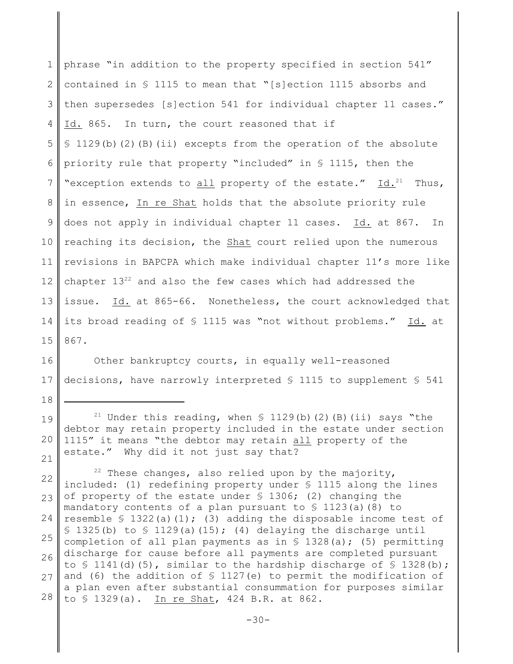1 2 3 4 5 6 7 8 9 10 11 12 13 14 15 phrase "in addition to the property specified in section 541" contained in § 1115 to mean that "[s]ection 1115 absorbs and then supersedes [s]ection 541 for individual chapter 11 cases." Id. 865. In turn, the court reasoned that if § 1129(b)(2)(B)(ii) excepts from the operation of the absolute priority rule that property "included" in § 1115, then the "exception extends to  $\underline{\text{all}}$  property of the estate."  $\underline{\text{Id.}}^{21}$  Thus, in essence, In re Shat holds that the absolute priority rule does not apply in individual chapter 11 cases. Id. at 867. In reaching its decision, the Shat court relied upon the numerous revisions in BAPCPA which make individual chapter 11's more like chapter  $13^{22}$  and also the few cases which had addressed the issue. Id. at 865-66. Nonetheless, the court acknowledged that its broad reading of § 1115 was "not without problems." Id. at 867.

16 17 Other bankruptcy courts, in equally well-reasoned decisions, have narrowly interpreted § 1115 to supplement § 541

18

19 20 21 <sup>21</sup> Under this reading, when  $\frac{129}{b}$ (b)(2)(B)(ii) says "the debtor may retain property included in the estate under section 1115" it means "the debtor may retain all property of the estate." Why did it not just say that?

22 23 24 25 26 27 28 <sup>22</sup> These changes, also relied upon by the majority, included: (1) redefining property under § 1115 along the lines of property of the estate under § 1306; (2) changing the mandatory contents of a plan pursuant to  $\frac{123}{a}$  (8) to resemble  $\{5\}$  1322(a)(1); (3) adding the disposable income test of  $\S$  1325(b) to  $\S$  1129(a)(15); (4) delaying the discharge until completion of all plan payments as in  $\frac{1}{2}$  1328(a); (5) permitting discharge for cause before all payments are completed pursuant to  $\Im$  1141(d)(5), similar to the hardship discharge of  $\Im$  1328(b); and (6) the addition of  $\frac{127}{e}$  to permit the modification of a plan even after substantial consummation for purposes similar to § 1329(a). In re Shat, 424 B.R. at 862.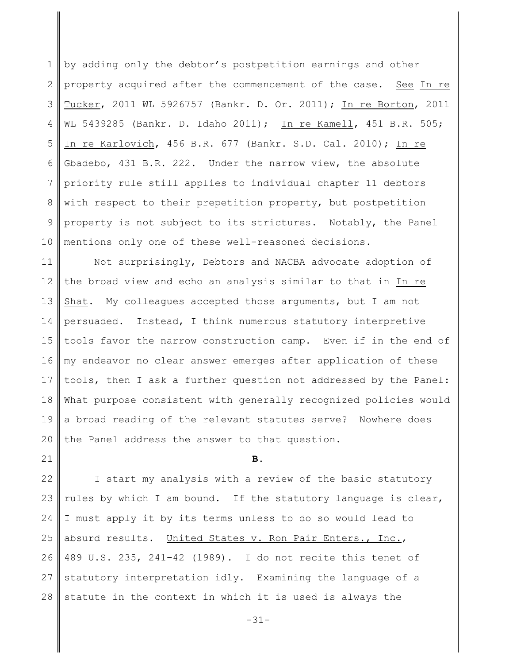1 2 3 4 5 6 7 8 9 10 by adding only the debtor's postpetition earnings and other property acquired after the commencement of the case. See In re Tucker, 2011 WL 5926757 (Bankr. D. Or. 2011); In re Borton, 2011 WL 5439285 (Bankr. D. Idaho 2011); In re Kamell, 451 B.R. 505; In re Karlovich, 456 B.R. 677 (Bankr. S.D. Cal. 2010); In re Gbadebo, 431 B.R. 222. Under the narrow view, the absolute priority rule still applies to individual chapter 11 debtors with respect to their prepetition property, but postpetition property is not subject to its strictures. Notably, the Panel mentions only one of these well-reasoned decisions.

11 12 13 14 15 16 17 18 19 20 Not surprisingly, Debtors and NACBA advocate adoption of the broad view and echo an analysis similar to that in In re Shat. My colleagues accepted those arguments, but I am not persuaded. Instead, I think numerous statutory interpretive tools favor the narrow construction camp. Even if in the end of my endeavor no clear answer emerges after application of these tools, then I ask a further question not addressed by the Panel: What purpose consistent with generally recognized policies would a broad reading of the relevant statutes serve? Nowhere does the Panel address the answer to that question.

21

#### **B.**

22 23 24 25 26 27 28 I start my analysis with a review of the basic statutory rules by which I am bound. If the statutory language is clear, I must apply it by its terms unless to do so would lead to absurd results. United States v. Ron Pair Enters., Inc., 489 U.S. 235, 241–42 (1989). I do not recite this tenet of statutory interpretation idly. Examining the language of a statute in the context in which it is used is always the

-31-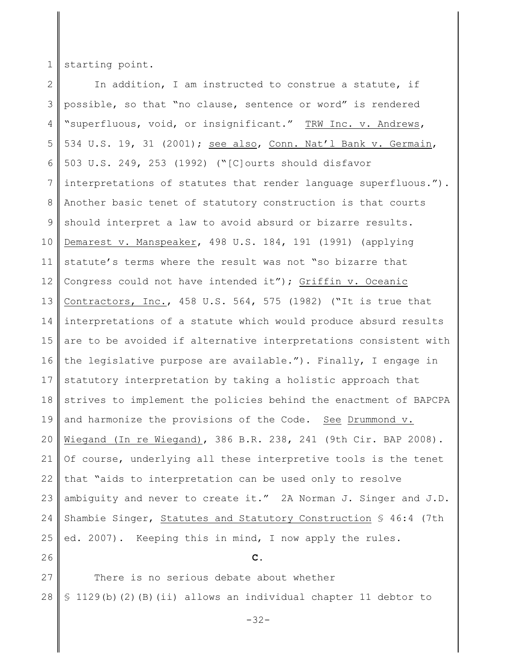1 starting point.

2 3 4 5 6 7 8 9 10 11 12 13 14 15 16 17 18 19 20 21 22 23 24 25 In addition, I am instructed to construe a statute, if possible, so that "no clause, sentence or word" is rendered "superfluous, void, or insignificant." TRW Inc. v. Andrews, 534 U.S. 19, 31 (2001); see also, Conn. Nat'l Bank v. Germain, 503 U.S. 249, 253 (1992) ("[C]ourts should disfavor interpretations of statutes that render language superfluous."). Another basic tenet of statutory construction is that courts should interpret a law to avoid absurd or bizarre results. Demarest v. Manspeaker, 498 U.S. 184, 191 (1991) (applying statute's terms where the result was not "so bizarre that Congress could not have intended it"); Griffin v. Oceanic Contractors, Inc., 458 U.S. 564, 575 (1982) ("It is true that interpretations of a statute which would produce absurd results are to be avoided if alternative interpretations consistent with the legislative purpose are available."). Finally, I engage in statutory interpretation by taking a holistic approach that strives to implement the policies behind the enactment of BAPCPA and harmonize the provisions of the Code. See Drummond v. Wiegand (In re Wiegand), 386 B.R. 238, 241 (9th Cir. BAP 2008). Of course, underlying all these interpretive tools is the tenet that "aids to interpretation can be used only to resolve ambiguity and never to create it." 2A Norman J. Singer and J.D. Shambie Singer, Statutes and Statutory Construction § 46:4 (7th ed. 2007). Keeping this in mind, I now apply the rules.

26

27 28 There is no serious debate about whether § 1129(b)(2)(B)(ii) allows an individual chapter 11 debtor to

-32-

**C.**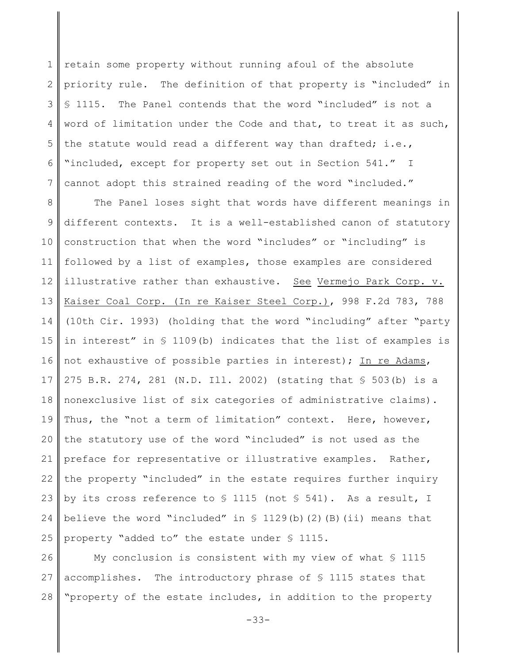1 2 3 4 5 6 7 retain some property without running afoul of the absolute priority rule. The definition of that property is "included" in § 1115. The Panel contends that the word "included" is not a word of limitation under the Code and that, to treat it as such, the statute would read a different way than drafted; i.e., "included, except for property set out in Section 541." I cannot adopt this strained reading of the word "included."

8 9 10 11 12 13 14 15 16 17 18 19 20 21 22 23 24 25 The Panel loses sight that words have different meanings in different contexts. It is a well-established canon of statutory construction that when the word "includes" or "including" is followed by a list of examples, those examples are considered illustrative rather than exhaustive. See Vermejo Park Corp. v. Kaiser Coal Corp. (In re Kaiser Steel Corp.), 998 F.2d 783, 788 (10th Cir. 1993) (holding that the word "including" after "party in interest" in § 1109(b) indicates that the list of examples is not exhaustive of possible parties in interest); In re Adams, 275 B.R. 274, 281 (N.D. Ill. 2002) (stating that § 503(b) is a nonexclusive list of six categories of administrative claims). Thus, the "not a term of limitation" context. Here, however, the statutory use of the word "included" is not used as the preface for representative or illustrative examples. Rather, the property "included" in the estate requires further inquiry by its cross reference to § 1115 (not § 541). As a result, I believe the word "included" in  $S$  1129(b)(2)(B)(ii) means that property "added to" the estate under § 1115.

26 27 28 My conclusion is consistent with my view of what § 1115 accomplishes. The introductory phrase of § 1115 states that "property of the estate includes, in addition to the property

-33-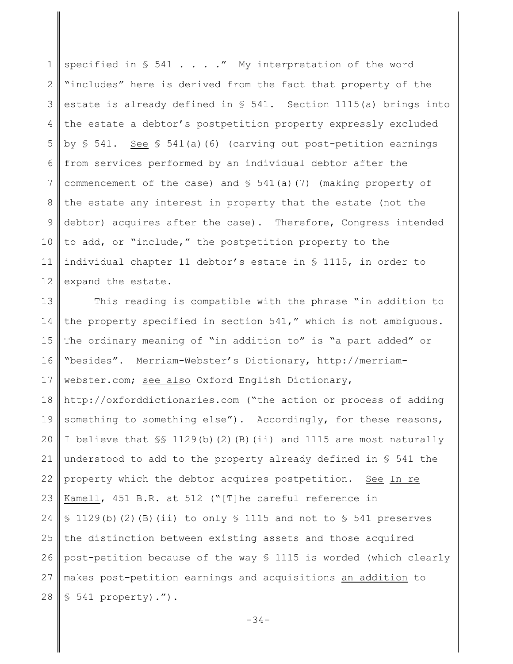1 2 3 4 5 6 7 8 9 10 11 12 specified in  $S$  541 . . . ." My interpretation of the word "includes" here is derived from the fact that property of the estate is already defined in § 541. Section 1115(a) brings into the estate a debtor's postpetition property expressly excluded by  $\S$  541. See  $\S$  541(a)(6) (carving out post-petition earnings from services performed by an individual debtor after the commencement of the case) and  $\S$  541(a)(7) (making property of the estate any interest in property that the estate (not the debtor) acquires after the case). Therefore, Congress intended to add, or "include," the postpetition property to the individual chapter 11 debtor's estate in § 1115, in order to expand the estate.

13 14 15 16 17 18 19 20 This reading is compatible with the phrase "in addition to the property specified in section 541," which is not ambiguous. The ordinary meaning of "in addition to" is "a part added" or "besides". Merriam-Webster's Dictionary, http://merriamwebster.com; see also Oxford English Dictionary, http://oxforddictionaries.com ("the action or process of adding something to something else"). Accordingly, for these reasons, I believe that §§ 1129(b)(2)(B)(ii) and 1115 are most naturally

21 22 23 24 25 26 27 28 understood to add to the property already defined in § 541 the property which the debtor acquires postpetition. See In re Kamell, 451 B.R. at 512 ("[T]he careful reference in  $$1129(b)(2)(B)(ii)$  to only  $$1115$  and not to  $$541$  preserves the distinction between existing assets and those acquired post-petition because of the way § 1115 is worded (which clearly makes post-petition earnings and acquisitions an addition to § 541 property).").

-34-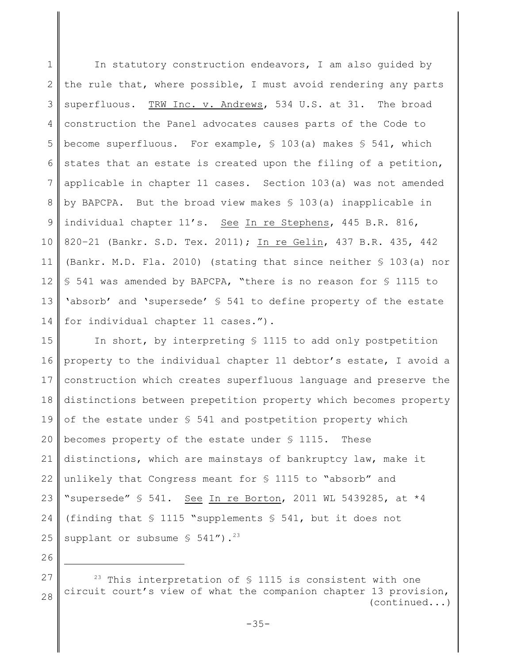1 2 3 4 5 6 7 8 9 10 11 12 13 14 In statutory construction endeavors, I am also guided by the rule that, where possible, I must avoid rendering any parts superfluous. TRW Inc. v. Andrews, 534 U.S. at 31. The broad construction the Panel advocates causes parts of the Code to become superfluous. For example,  $\S$  103(a) makes  $\S$  541, which states that an estate is created upon the filing of a petition, applicable in chapter 11 cases. Section 103(a) was not amended by BAPCPA. But the broad view makes § 103(a) inapplicable in individual chapter 11's. See In re Stephens, 445 B.R. 816, 820–21 (Bankr. S.D. Tex. 2011); In re Gelin, 437 B.R. 435, 442 (Bankr. M.D. Fla. 2010) (stating that since neither § 103(a) nor § 541 was amended by BAPCPA, "there is no reason for § 1115 to 'absorb' and 'supersede' § 541 to define property of the estate for individual chapter 11 cases.").

15 16 17 18 19 20 21 22 23 24 25 In short, by interpreting § 1115 to add only postpetition property to the individual chapter 11 debtor's estate, I avoid a construction which creates superfluous language and preserve the distinctions between prepetition property which becomes property of the estate under § 541 and postpetition property which becomes property of the estate under § 1115. These distinctions, which are mainstays of bankruptcy law, make it unlikely that Congress meant for § 1115 to "absorb" and "supersede" § 541. See In re Borton, 2011 WL 5439285, at \*4 (finding that § 1115 "supplements § 541, but it does not supplant or subsume  $\frac{1}{5}$  541").<sup>23</sup>

27 28 <sup>23</sup> This interpretation of  $\frac{1}{2}$  1115 is consistent with one circuit court's view of what the companion chapter 13 provision, (continued...)

26

-35-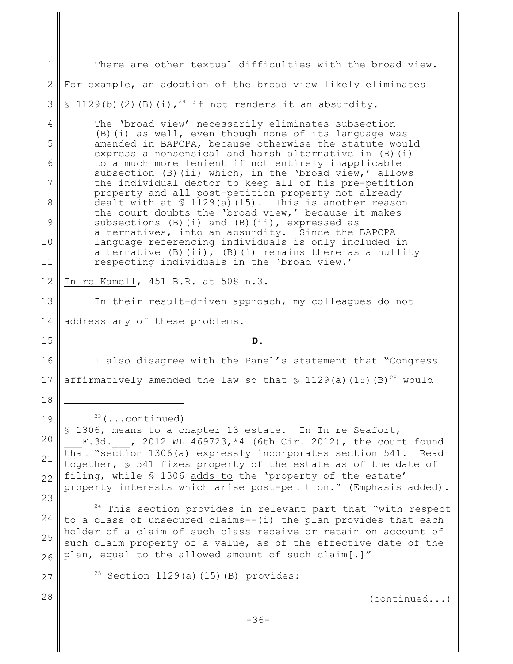1 2 3 4 5 6 7 8 9 10 11 12 13 14 15 16 17 18 19 20 21 22 23 24 25 26 27 28  $23$  (...continued) § 1306, means to a chapter 13 estate. In In re Seafort, F.3d. , 2012 WL 469723,  $*4$  (6th Cir. 2012), the court found that "section 1306(a) expressly incorporates section 541. Read together, § 541 fixes property of the estate as of the date of filing, while § 1306 adds to the 'property of the estate' property interests which arise post-petition." (Emphasis added).  $24$  This section provides in relevant part that "with respect to a class of unsecured claims--(i) the plan provides that each holder of a claim of such class receive or retain on account of such claim property of a value, as of the effective date of the plan, equal to the allowed amount of such claim[.]"  $25$  Section 1129(a)(15)(B) provides: (continued...) -36- There are other textual difficulties with the broad view. For example, an adoption of the broad view likely eliminates § 1129(b)(2)(B)(i),  $24$  if not renders it an absurdity. The 'broad view' necessarily eliminates subsection (B)(i) as well, even though none of its language was amended in BAPCPA, because otherwise the statute would express a nonsensical and harsh alternative in (B)(i) to a much more lenient if not entirely inapplicable subsection (B)(ii) which, in the 'broad view,' allows the individual debtor to keep all of his pre-petition property and all post-petition property not already dealt with at  $\frac{1}{29(a)}(15)$ . This is another reason the court doubts the 'broad view,' because it makes subsections  $(B)(i)$  and  $(B)(ii)$ , expressed as alternatives, into an absurdity. Since the BAPCPA language referencing individuals is only included in alternative  $(B)$  (ii),  $(B)$  (i) remains there as a nullity respecting individuals in the 'broad view.' In re Kamell, 451 B.R. at 508 n.3. In their result-driven approach, my colleagues do not address any of these problems. **D.** I also disagree with the Panel's statement that "Congress affirmatively amended the law so that  $\frac{129}{a}$  (15)(B)<sup>25</sup> would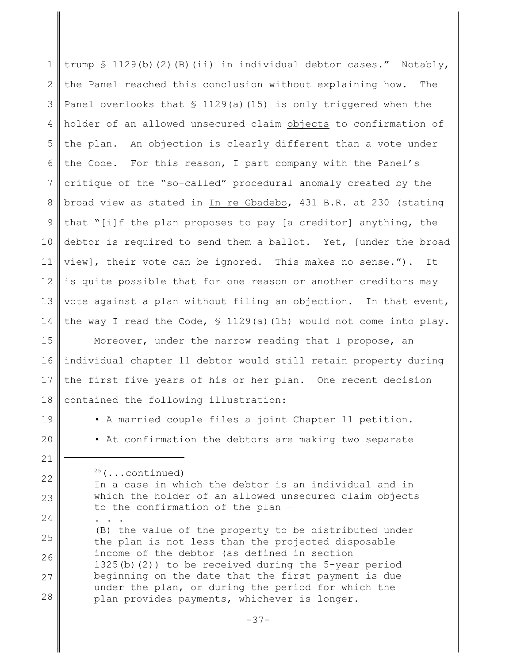1 2 3 4 5 6 7 8 9 10 11 12 13 14 trump § 1129(b)(2)(B)(ii) in individual debtor cases." Notably, the Panel reached this conclusion without explaining how. The Panel overlooks that  $\frac{129}{a}$ (a)(15) is only triggered when the holder of an allowed unsecured claim objects to confirmation of the plan. An objection is clearly different than a vote under the Code. For this reason, I part company with the Panel's critique of the "so-called" procedural anomaly created by the broad view as stated in In re Gbadebo, 431 B.R. at 230 (stating that "[i]f the plan proposes to pay [a creditor] anything, the debtor is required to send them a ballot. Yet, [under the broad view], their vote can be ignored. This makes no sense."). It is quite possible that for one reason or another creditors may vote against a plan without filing an objection. In that event, the way I read the Code,  $\frac{129}{a}(a)(15)$  would not come into play.

15 16 17 18 Moreover, under the narrow reading that I propose, an individual chapter 11 debtor would still retain property during the first five years of his or her plan. One recent decision contained the following illustration:

19

20

21

22

23

24

• A married couple files a joint Chapter 11 petition. • At confirmation the debtors are making two separate

 $25$  (...continued) In a case in which the debtor is an individual and in which the holder of an allowed unsecured claim objects to the confirmation of the plan — . . .

25 26 27 28 (B) the value of the property to be distributed under the plan is not less than the projected disposable income of the debtor (as defined in section 1325(b)(2)) to be received during the 5-year period beginning on the date that the first payment is due under the plan, or during the period for which the plan provides payments, whichever is longer.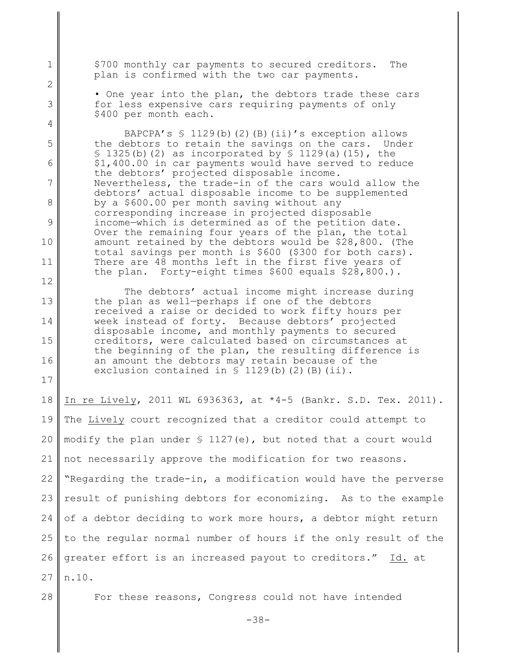\$700 monthly car payments to secured creditors. The plan is confirmed with the two car payments.

1

2

3

4

5

6

7

8

9

10

11

12

13

14

15

16

17

28

• One year into the plan, the debtors trade these cars for less expensive cars requiring payments of only \$400 per month each.

BAPCPA's  $\frac{129(b)}{2}$  (B)(ii)'s exception allows the debtors to retain the savings on the cars. Under  $\S$  1325(b)(2) as incorporated by  $\S$  1129(a)(15), the \$1,400.00 in car payments would have served to reduce the debtors' projected disposable income. Nevertheless, the trade-in of the cars would allow the debtors' actual disposable income to be supplemented by a \$600.00 per month saving without any corresponding increase in projected disposable income—which is determined as of the petition date. Over the remaining four years of the plan, the total amount retained by the debtors would be \$28,800. (The total savings per month is \$600 (\$300 for both cars). There are 48 months left in the first five years of the plan. Forty-eight times \$600 equals \$28,800.).

The debtors' actual income might increase during the plan as well—perhaps if one of the debtors received a raise or decided to work fifty hours per week instead of forty. Because debtors' projected disposable income, and monthly payments to secured creditors, were calculated based on circumstances at the beginning of the plan, the resulting difference is an amount the debtors may retain because of the exclusion contained in  $\S$  1129(b)(2)(B)(ii).

18 19 20 21 22 23 24 25 26 27 In re Lively, 2011 WL 6936363, at \*4-5 (Bankr. S.D. Tex. 2011). The Lively court recognized that a creditor could attempt to modify the plan under  $\frac{127}{e}$ , but noted that a court would not necessarily approve the modification for two reasons. "Regarding the trade-in, a modification would have the perverse result of punishing debtors for economizing. As to the example of a debtor deciding to work more hours, a debtor might return to the regular normal number of hours if the only result of the greater effort is an increased payout to creditors." Id. at n.10.

For these reasons, Congress could not have intended

-38-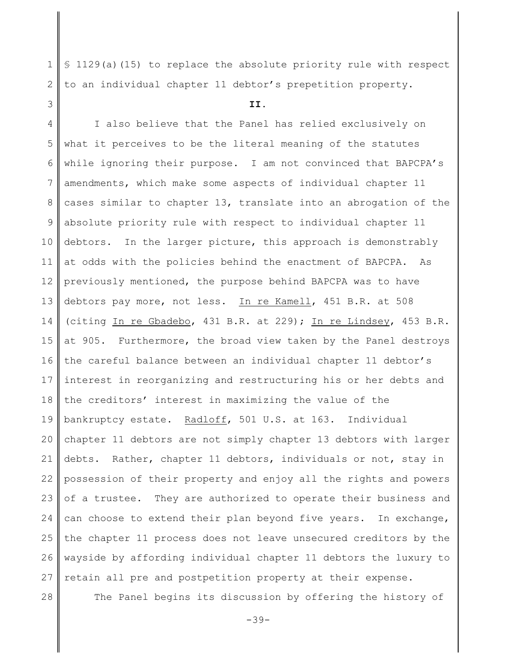§ 1129(a)(15) to replace the absolute priority rule with respect to an individual chapter 11 debtor's prepetition property.

#### **II.**

4 5 6 7 8 9 10 11 12 13 14 15 16 17 18 19 20 21 22 23 24 25 26 27 I also believe that the Panel has relied exclusively on what it perceives to be the literal meaning of the statutes while ignoring their purpose. I am not convinced that BAPCPA's amendments, which make some aspects of individual chapter 11 cases similar to chapter 13, translate into an abrogation of the absolute priority rule with respect to individual chapter 11 debtors. In the larger picture, this approach is demonstrably at odds with the policies behind the enactment of BAPCPA. As previously mentioned, the purpose behind BAPCPA was to have debtors pay more, not less. In re Kamell, 451 B.R. at 508 (citing In re Gbadebo, 431 B.R. at 229); In re Lindsey, 453 B.R. at 905. Furthermore, the broad view taken by the Panel destroys the careful balance between an individual chapter 11 debtor's interest in reorganizing and restructuring his or her debts and the creditors' interest in maximizing the value of the bankruptcy estate. Radloff, 501 U.S. at 163. Individual chapter 11 debtors are not simply chapter 13 debtors with larger debts. Rather, chapter 11 debtors, individuals or not, stay in possession of their property and enjoy all the rights and powers of a trustee. They are authorized to operate their business and can choose to extend their plan beyond five years. In exchange, the chapter 11 process does not leave unsecured creditors by the wayside by affording individual chapter 11 debtors the luxury to retain all pre and postpetition property at their expense.

28

1

2

3

The Panel begins its discussion by offering the history of

-39-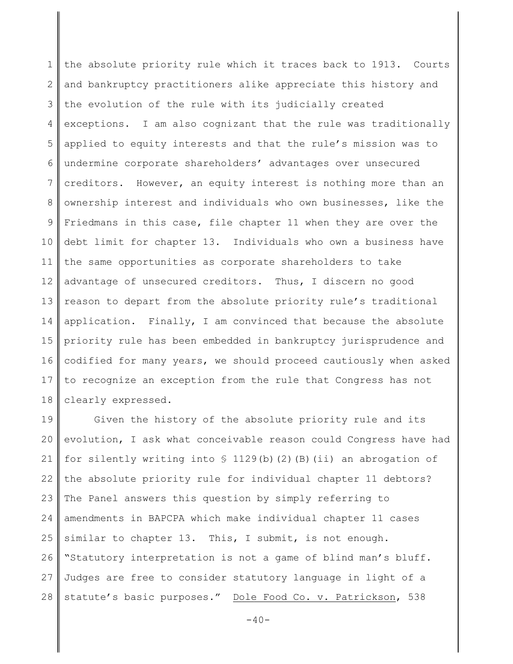1 2 3 4 5 6 7 8 9 10 11 12 13 14 15 16 17 18 the absolute priority rule which it traces back to 1913. Courts and bankruptcy practitioners alike appreciate this history and the evolution of the rule with its judicially created exceptions. I am also cognizant that the rule was traditionally applied to equity interests and that the rule's mission was to undermine corporate shareholders' advantages over unsecured creditors. However, an equity interest is nothing more than an ownership interest and individuals who own businesses, like the Friedmans in this case, file chapter 11 when they are over the debt limit for chapter 13. Individuals who own a business have the same opportunities as corporate shareholders to take advantage of unsecured creditors. Thus, I discern no good reason to depart from the absolute priority rule's traditional application. Finally, I am convinced that because the absolute priority rule has been embedded in bankruptcy jurisprudence and codified for many years, we should proceed cautiously when asked to recognize an exception from the rule that Congress has not clearly expressed.

19 20 21 22 23 24 25 26 27 28 Given the history of the absolute priority rule and its evolution, I ask what conceivable reason could Congress have had for silently writing into  $\frac{129(b)(2)(B)(ii)}{2}$  an abrogation of the absolute priority rule for individual chapter 11 debtors? The Panel answers this question by simply referring to amendments in BAPCPA which make individual chapter 11 cases similar to chapter 13. This, I submit, is not enough. "Statutory interpretation is not a game of blind man's bluff. Judges are free to consider statutory language in light of a statute's basic purposes." Dole Food Co. v. Patrickson, 538

 $-40-$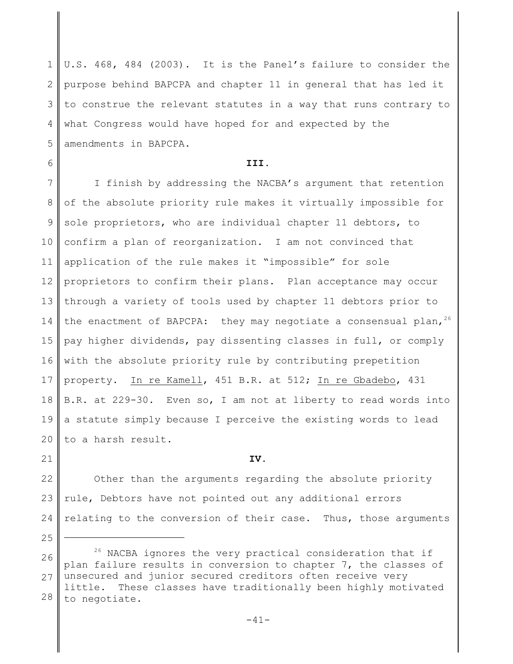1 2 3 4 5 U.S. 468, 484 (2003). It is the Panel's failure to consider the purpose behind BAPCPA and chapter 11 in general that has led it to construe the relevant statutes in a way that runs contrary to what Congress would have hoped for and expected by the amendments in BAPCPA.

#### **III.**

6

21

25

7 8 9 10 11 12 13 14 15 16 17 18 19 20 I finish by addressing the NACBA's argument that retention of the absolute priority rule makes it virtually impossible for sole proprietors, who are individual chapter 11 debtors, to confirm a plan of reorganization. I am not convinced that application of the rule makes it "impossible" for sole proprietors to confirm their plans. Plan acceptance may occur through a variety of tools used by chapter 11 debtors prior to the enactment of BAPCPA: they may negotiate a consensual plan,  $26$ pay higher dividends, pay dissenting classes in full, or comply with the absolute priority rule by contributing prepetition property. In re Kamell, 451 B.R. at 512; In re Gbadebo, 431 B.R. at 229-30. Even so, I am not at liberty to read words into a statute simply because I perceive the existing words to lead to a harsh result.

**IV.**

22 23 24 Other than the arguments regarding the absolute priority rule, Debtors have not pointed out any additional errors relating to the conversion of their case. Thus, those arguments

26 27 28  $26$  NACBA ignores the very practical consideration that if plan failure results in conversion to chapter 7, the classes of unsecured and junior secured creditors often receive very little. These classes have traditionally been highly motivated to negotiate.